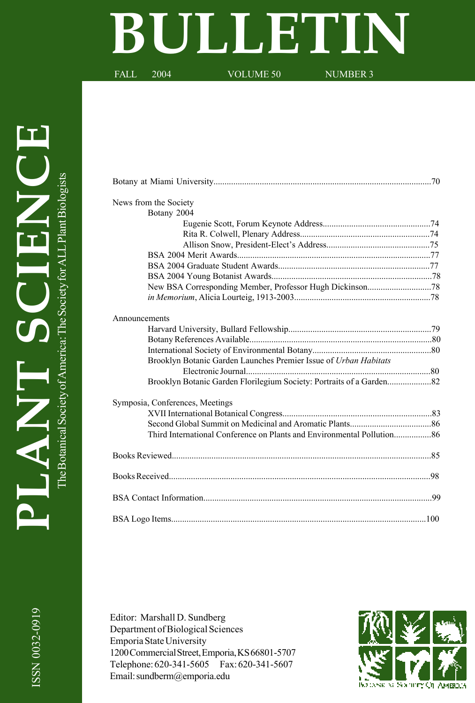# **BULLETIN**

FALL 2004 VOLUME 50 NUMBER 3

| News from the Society                                            |  |
|------------------------------------------------------------------|--|
| Botany 2004                                                      |  |
|                                                                  |  |
|                                                                  |  |
|                                                                  |  |
|                                                                  |  |
|                                                                  |  |
|                                                                  |  |
|                                                                  |  |
|                                                                  |  |
| Announcements                                                    |  |
|                                                                  |  |
|                                                                  |  |
|                                                                  |  |
| Brooklyn Botanic Garden Launches Premier Issue of Urban Habitats |  |
|                                                                  |  |
|                                                                  |  |
| Symposia, Conferences, Meetings                                  |  |
|                                                                  |  |
|                                                                  |  |
|                                                                  |  |
|                                                                  |  |
|                                                                  |  |
|                                                                  |  |
|                                                                  |  |
|                                                                  |  |

Editor: Marshall D. Sundberg Department of Biological Sciences Emporia State University 1200 Commercial Street, Emporia, KS 66801-5707 Telephone: 620-341-5605 Fax: 620-341-5607 Email: sundberm@emporia.edu

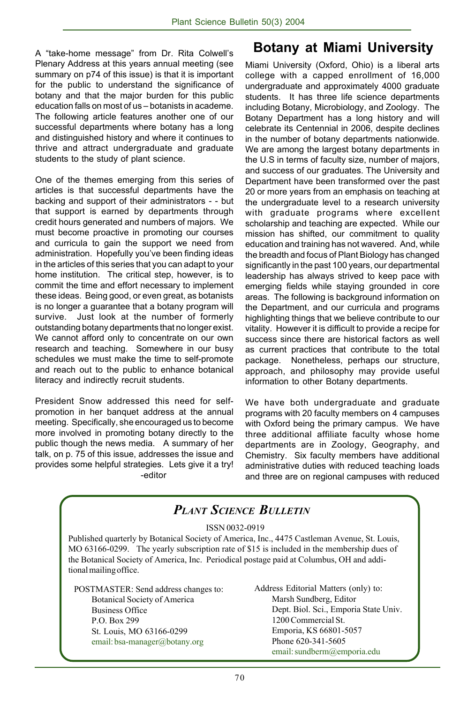A "take-home message" from Dr. Rita Colwell's Plenary Address at this years annual meeting (see summary on p74 of this issue) is that it is important for the public to understand the significance of botany and that the major burden for this public education falls on most of us - botanists in academe. The following article features another one of our successful departments where botany has a long and distinguished history and where it continues to thrive and attract undergraduate and graduate students to the study of plant science.

One of the themes emerging from this series of articles is that successful departments have the backing and support of their administrators - - but that support is earned by departments through credit hours generated and numbers of majors. We must become proactive in promoting our courses and curricula to gain the support we need from administration. Hopefully you've been finding ideas in the articles of this series that you can adapt to your home institution. The critical step, however, is to commit the time and effort necessary to implement these ideas. Being good, or even great, as botanists is no longer a guarantee that a botany program will survive. Just look at the number of formerly outstanding botany departments that no longer exist. We cannot afford only to concentrate on our own research and teaching. Somewhere in our busy schedules we must make the time to self-promote and reach out to the public to enhance botanical literacy and indirectly recruit students.

President Snow addressed this need for selfpromotion in her banquet address at the annual meeting. Specifically, she encouraged us to become more involved in promoting botany directly to the public though the news media. A summary of her talk, on p. 75 of this issue, addresses the issue and provides some helpful strategies. Lets give it a try! -editor

### **Botany at Miami University**

Miami University (Oxford, Ohio) is a liberal arts college with a capped enrollment of 16,000 undergraduate and approximately 4000 graduate students. It has three life science departments including Botany, Microbiology, and Zoology. The Botany Department has a long history and will celebrate its Centennial in 2006, despite declines in the number of botany departments nationwide. We are among the largest botany departments in the U.S in terms of faculty size, number of majors, and success of our graduates. The University and Department have been transformed over the past 20 or more years from an emphasis on teaching at the undergraduate level to a research university with graduate programs where excellent scholarship and teaching are expected. While our mission has shifted, our commitment to quality education and training has not wavered. And, while the breadth and focus of Plant Biology has changed significantly in the past 100 years, our departmental leadership has always strived to keep pace with emerging fields while staying grounded in core areas. The following is background information on the Department, and our curricula and programs highlighting things that we believe contribute to our vitality. However it is difficult to provide a recipe for success since there are historical factors as well as current practices that contribute to the total package. Nonetheless, perhaps our structure, approach, and philosophy may provide useful information to other Botany departments.

We have both undergraduate and graduate programs with 20 faculty members on 4 campuses with Oxford being the primary campus. We have three additional affiliate faculty whose home departments are in Zoology, Geography, and Chemistry. Six faculty members have additional administrative duties with reduced teaching loads and three are on regional campuses with reduced

|                                                                                                                                                                                                                                                                                                                                   | <b>PLANT SCIENCE BULLETIN</b>                                                                                                  |
|-----------------------------------------------------------------------------------------------------------------------------------------------------------------------------------------------------------------------------------------------------------------------------------------------------------------------------------|--------------------------------------------------------------------------------------------------------------------------------|
| ISSN 0032-0919<br>Published quarterly by Botanical Society of America, Inc., 4475 Castleman Avenue, St. Louis,<br>MO 63166-0299. The yearly subscription rate of \$15 is included in the membership dues of<br>the Botanical Society of America, Inc. Periodical postage paid at Columbus, OH and addi-<br>tional mailing office. |                                                                                                                                |
| POSTMASTER: Send address changes to:<br><b>Botanical Society of America</b><br><b>Business Office</b>                                                                                                                                                                                                                             | Address Editorial Matters (only) to:<br>Marsh Sundberg, Editor<br>Dept. Biol. Sci., Emporia State Univ.<br>1200 Commercial St. |
| P.O. Box 299<br>St. Louis, MO 63166-0299<br>email: bsa-manager@botany.org                                                                                                                                                                                                                                                         | Emporia, KS 66801-5057<br>Phone 620-341-5605<br>email: sundberm@emporia.edu                                                    |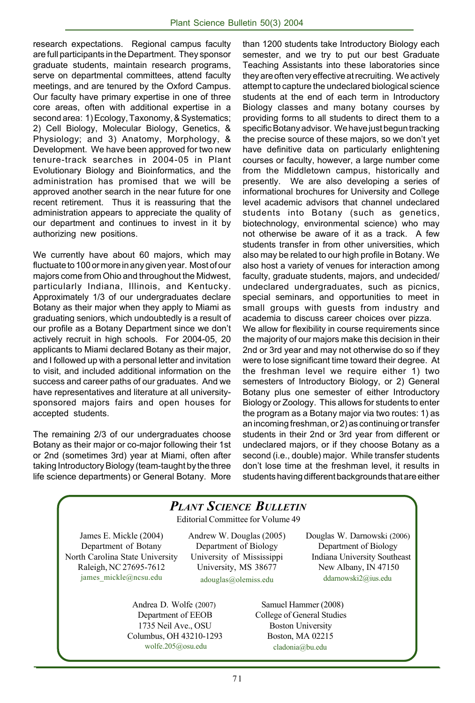research expectations. Regional campus faculty are full participants in the Department. They sponsor graduate students, maintain research programs, serve on departmental committees, attend faculty meetings, and are tenured by the Oxford Campus. Our faculty have primary expertise in one of three core areas, often with additional expertise in a second area: 1) Ecology, Taxonomy, & Systematics; 2) Cell Biology, Molecular Biology, Genetics, & Physiology; and 3) Anatomy, Morphology, & Development. We have been approved for two new tenure-track searches in 2004-05 in Plant Evolutionary Biology and Bioinformatics, and the administration has promised that we will be approved another search in the near future for one recent retirement. Thus it is reassuring that the administration appears to appreciate the quality of our department and continues to invest in it by authorizing new positions.

We currently have about 60 majors, which may fluctuate to 100 or more in any given year. Most of our majors come from Ohio and throughout the Midwest, particularly Indiana, Illinois, and Kentucky. Approximately 1/3 of our undergraduates declare Botany as their major when they apply to Miami as graduating seniors, which undoubtedly is a result of our profile as a Botany Department since we don't actively recruit in high schools. For 2004-05, 20 applicants to Miami declared Botany as their major, and I followed up with a personal letter and invitation to visit, and included additional information on the success and career paths of our graduates. And we have representatives and literature at all universitysponsored majors fairs and open houses for accepted students.

The remaining 2/3 of our undergraduates choose Botany as their major or co-major following their 1st or 2nd (sometimes 3rd) year at Miami, often after taking Introductory Biology (team-taught by the three life science departments) or General Botany. More

than 1200 students take Introductory Biology each semester, and we try to put our best Graduate Teaching Assistants into these laboratories since they are often very effective at recruiting. We actively attempt to capture the undeclared biological science students at the end of each term in Introductory Biology classes and many botany courses by providing forms to all students to direct them to a specific Botany advisor. We have just begun tracking the precise source of these majors, so we don't yet have definitive data on particularly enlightening courses or faculty, however, a large number come from the Middletown campus, historically and presently. We are also developing a series of informational brochures for University and College level academic advisors that channel undeclared students into Botany (such as genetics, biotechnology, environmental science) who may not otherwise be aware of it as a track. A few students transfer in from other universities, which also may be related to our high profile in Botany. We also host a variety of venues for interaction among faculty, graduate students, majors, and undecided/ undeclared undergraduates, such as picnics, special seminars, and opportunities to meet in small groups with guests from industry and academia to discuss career choices over pizza. We allow for flexibility in course requirements since the majority of our majors make this decision in their 2nd or 3rd year and may not otherwise do so if they were to lose significant time toward their degree. At the freshman level we require either 1) two semesters of Introductory Biology, or 2) General Botany plus one semester of either Introductory Biology or Zoology. This allows for students to enter the program as a Botany major via two routes: 1) as an incoming freshman, or 2) as continuing or transfer students in their 2nd or 3rd year from different or undeclared majors, or if they choose Botany as a second (i.e., double) major. While transfer students donít lose time at the freshman level, it results in students having different backgrounds that are either

#### Editorial Committee for Volume 49 James E. Mickle (2004) Department of Botany North Carolina State University Raleigh, NC 27695-7612 james\_mickle@ncsu.edu Andrew W. Douglas (2005) Department of Biology University of Mississippi University, MS 38677 adouglas@olemiss.edu *PLANT SCIENCE BULLETIN* Douglas W. Darnowski (2006) Department of Biology Indiana University Southeast New Albany, IN 47150 ddarnowski2@ius.edu Andrea D. Wolfe (2007) Department of EEOB 1735 Neil Ave., OSU Columbus, OH 43210-1293 Samuel Hammer (2008) College of General Studies Boston University Boston, MA 02215

wolfe.205@osu.edu

cladonia@bu.edu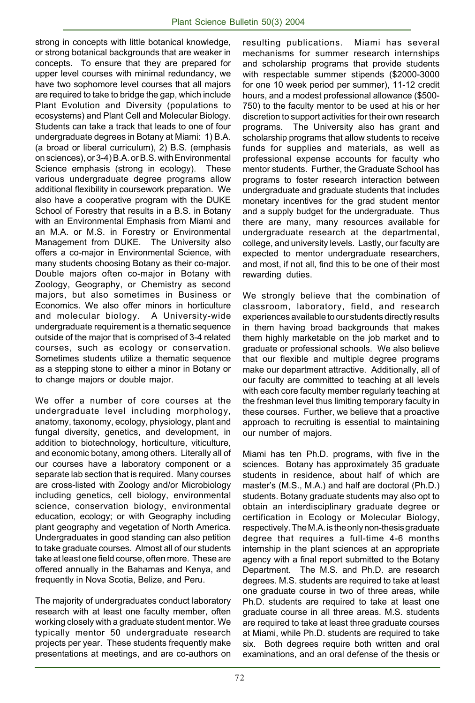strong in concepts with little botanical knowledge, or strong botanical backgrounds that are weaker in concepts. To ensure that they are prepared for upper level courses with minimal redundancy, we have two sophomore level courses that all majors are required to take to bridge the gap, which include Plant Evolution and Diversity (populations to ecosystems) and Plant Cell and Molecular Biology. Students can take a track that leads to one of four undergraduate degrees in Botany at Miami: 1) B.A. (a broad or liberal curriculum), 2) B.S. (emphasis on sciences), or 3-4) B.A. or B.S. with Environmental Science emphasis (strong in ecology). These various undergraduate degree programs allow additional flexibility in coursework preparation. We also have a cooperative program with the DUKE School of Forestry that results in a B.S. in Botany with an Environmental Emphasis from Miami and an M.A. or M.S. in Forestry or Environmental Management from DUKE. The University also offers a co-major in Environmental Science, with many students choosing Botany as their co-major. Double majors often co-major in Botany with Zoology, Geography, or Chemistry as second majors, but also sometimes in Business or Economics. We also offer minors in horticulture and molecular biology. A University-wide undergraduate requirement is a thematic sequence outside of the major that is comprised of 3-4 related courses, such as ecology or conservation. Sometimes students utilize a thematic sequence as a stepping stone to either a minor in Botany or to change majors or double major.

We offer a number of core courses at the undergraduate level including morphology, anatomy, taxonomy, ecology, physiology, plant and fungal diversity, genetics, and development, in addition to biotechnology, horticulture, viticulture, and economic botany, among others. Literally all of our courses have a laboratory component or a separate lab section that is required. Many courses are cross-listed with Zoology and/or Microbiology including genetics, cell biology, environmental science, conservation biology, environmental education, ecology; or with Geography including plant geography and vegetation of North America. Undergraduates in good standing can also petition to take graduate courses. Almost all of our students take at least one field course, often more. These are offered annually in the Bahamas and Kenya, and frequently in Nova Scotia, Belize, and Peru.

The majority of undergraduates conduct laboratory research with at least one faculty member, often working closely with a graduate student mentor. We typically mentor 50 undergraduate research projects per year. These students frequently make presentations at meetings, and are co-authors on resulting publications. Miami has several mechanisms for summer research internships and scholarship programs that provide students with respectable summer stipends (\$2000-3000 for one 10 week period per summer), 11-12 credit hours, and a modest professional allowance (\$500- 750) to the faculty mentor to be used at his or her discretion to support activities for their own research programs. The University also has grant and scholarship programs that allow students to receive funds for supplies and materials, as well as professional expense accounts for faculty who mentor students. Further, the Graduate School has programs to foster research interaction between undergraduate and graduate students that includes monetary incentives for the grad student mentor and a supply budget for the undergraduate. Thus there are many, many resources available for undergraduate research at the departmental, college, and university levels. Lastly, our faculty are expected to mentor undergraduate researchers, and most, if not all, find this to be one of their most rewarding duties.

We strongly believe that the combination of classroom, laboratory, field, and research experiences available to our students directly results in them having broad backgrounds that makes them highly marketable on the job market and to graduate or professional schools. We also believe that our flexible and multiple degree programs make our department attractive. Additionally, all of our faculty are committed to teaching at all levels with each core faculty member regularly teaching at the freshman level thus limiting temporary faculty in these courses. Further, we believe that a proactive approach to recruiting is essential to maintaining our number of majors.

Miami has ten Ph.D. programs, with five in the sciences. Botany has approximately 35 graduate students in residence, about half of which are master's (M.S., M.A.) and half are doctoral (Ph.D.) students. Botany graduate students may also opt to obtain an interdisciplinary graduate degree or certification in Ecology or Molecular Biology, respectively. The M.A. is the only non-thesis graduate degree that requires a full-time 4-6 months internship in the plant sciences at an appropriate agency with a final report submitted to the Botany Department. The M.S. and Ph.D. are research degrees. M.S. students are required to take at least one graduate course in two of three areas, while Ph.D. students are required to take at least one graduate course in all three areas. M.S. students are required to take at least three graduate courses at Miami, while Ph.D. students are required to take six. Both degrees require both written and oral examinations, and an oral defense of the thesis or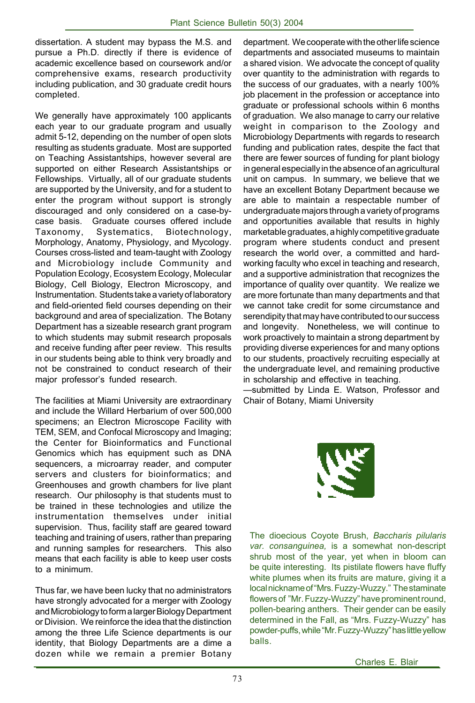dissertation. A student may bypass the M.S. and pursue a Ph.D. directly if there is evidence of academic excellence based on coursework and/or comprehensive exams, research productivity including publication, and 30 graduate credit hours completed.

We generally have approximately 100 applicants each year to our graduate program and usually admit 5-12, depending on the number of open slots resulting as students graduate. Most are supported on Teaching Assistantships, however several are supported on either Research Assistantships or Fellowships. Virtually, all of our graduate students are supported by the University, and for a student to enter the program without support is strongly discouraged and only considered on a case-bycase basis. Graduate courses offered include Taxonomy, Systematics, Biotechnology, Morphology, Anatomy, Physiology, and Mycology. Courses cross-listed and team-taught with Zoology and Microbiology include Community and Population Ecology, Ecosystem Ecology, Molecular Biology, Cell Biology, Electron Microscopy, and Instrumentation. Students take a variety of laboratory and field-oriented field courses depending on their background and area of specialization. The Botany Department has a sizeable research grant program to which students may submit research proposals and receive funding after peer review. This results in our students being able to think very broadly and not be constrained to conduct research of their major professor's funded research.

The facilities at Miami University are extraordinary and include the Willard Herbarium of over 500,000 specimens; an Electron Microscope Facility with TEM, SEM, and Confocal Microscopy and Imaging; the Center for Bioinformatics and Functional Genomics which has equipment such as DNA sequencers, a microarray reader, and computer servers and clusters for bioinformatics; and Greenhouses and growth chambers for live plant research. Our philosophy is that students must to be trained in these technologies and utilize the instrumentation themselves under initial supervision. Thus, facility staff are geared toward teaching and training of users, rather than preparing and running samples for researchers. This also means that each facility is able to keep user costs to a minimum.

Thus far, we have been lucky that no administrators have strongly advocated for a merger with Zoology and Microbiology to form a larger Biology Department or Division. We reinforce the idea that the distinction among the three Life Science departments is our identity, that Biology Departments are a dime a dozen while we remain a premier Botany department. We cooperate with the other life science departments and associated museums to maintain a shared vision. We advocate the concept of quality over quantity to the administration with regards to the success of our graduates, with a nearly 100% job placement in the profession or acceptance into graduate or professional schools within 6 months of graduation. We also manage to carry our relative weight in comparison to the Zoology and Microbiology Departments with regards to research funding and publication rates, despite the fact that there are fewer sources of funding for plant biology in general especially in the absence of an agricultural unit on campus. In summary, we believe that we have an excellent Botany Department because we are able to maintain a respectable number of undergraduate majors through a variety of programs and opportunities available that results in highly marketable graduates, a highly competitive graduate program where students conduct and present research the world over, a committed and hardworking faculty who excel in teaching and research, and a supportive administration that recognizes the importance of quality over quantity. We realize we are more fortunate than many departments and that we cannot take credit for some circumstance and serendipity that may have contributed to our success and longevity. Nonetheless, we will continue to work proactively to maintain a strong department by providing diverse experiences for and many options to our students, proactively recruiting especially at the undergraduate level, and remaining productive in scholarship and effective in teaching.

-submitted by Linda E. Watson, Professor and Chair of Botany, Miami University



The dioecious Coyote Brush, *Baccharis pilularis var. consanguinea,* is a somewhat non-descript shrub most of the year, yet when in bloom can be quite interesting. Its pistilate flowers have fluffy white plumes when its fruits are mature, giving it a local nickname of "Mrs. Fuzzy-Wuzzy." The staminate flowers of "Mr. Fuzzy-Wuzzy" have prominent round, pollen-bearing anthers. Their gender can be easily determined in the Fall, as "Mrs. Fuzzy-Wuzzy" has powder-puffs, while "Mr. Fuzzy-Wuzzy" has little yellow balls.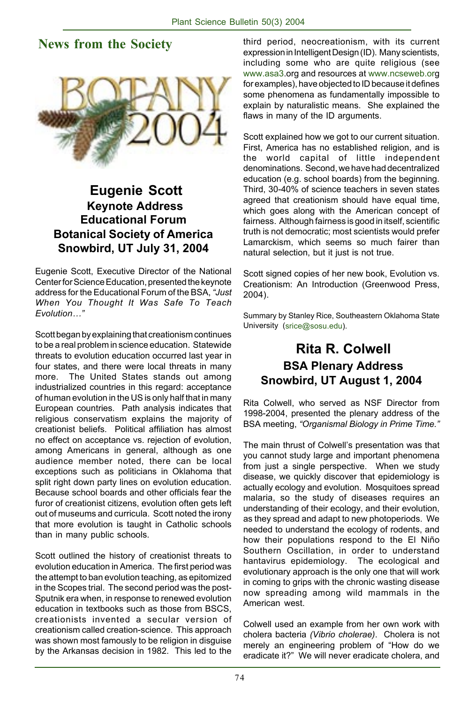### **News from the Society**



### **Eugenie Scott Keynote Address Educational Forum Botanical Society of America Snowbird, UT July 31, 2004**

Eugenie Scott, Executive Director of the National Center for Science Education, presented the keynote address for the Educational Forum of the BSA, *ìJust When You Thought It Was Safe To Teach EvolutionÖî*

Scott began by explaining that creationism continues to be a real problem in science education. Statewide threats to evolution education occurred last year in four states, and there were local threats in many more. The United States stands out among industrialized countries in this regard: acceptance of human evolution in the US is only half that in many European countries. Path analysis indicates that religious conservatism explains the majority of creationist beliefs. Political affiliation has almost no effect on acceptance vs. rejection of evolution, among Americans in general, although as one audience member noted, there can be local exceptions such as politicians in Oklahoma that split right down party lines on evolution education. Because school boards and other officials fear the furor of creationist citizens, evolution often gets left out of museums and curricula. Scott noted the irony that more evolution is taught in Catholic schools than in many public schools.

Scott outlined the history of creationist threats to evolution education in America. The first period was the attempt to ban evolution teaching, as epitomized in the Scopes trial. The second period was the post-Sputnik era when, in response to renewed evolution education in textbooks such as those from BSCS, creationists invented a secular version of creationism called creation-science. This approach was shown most famously to be religion in disguise by the Arkansas decision in 1982. This led to the third period, neocreationism, with its current expression in Intelligent Design (ID). Many scientists, including some who are quite religious (see www.asa3.org and resources at www.ncseweb.org for examples), have objected to ID because it defines some phenomena as fundamentally impossible to explain by naturalistic means. She explained the flaws in many of the ID arguments.

Scott explained how we got to our current situation. First, America has no established religion, and is the world capital of little independent denominations. Second, we have had decentralized education (e.g. school boards) from the beginning. Third, 30-40% of science teachers in seven states agreed that creationism should have equal time, which goes along with the American concept of fairness. Although fairness is good in itself, scientific truth is not democratic; most scientists would prefer Lamarckism, which seems so much fairer than natural selection, but it just is not true.

Scott signed copies of her new book, Evolution vs. Creationism: An Introduction (Greenwood Press, 2004).

Summary by Stanley Rice, Southeastern Oklahoma State University (srice@sosu.edu).

### **Rita R. Colwell BSA Plenary Address Snowbird, UT August 1, 2004**

Rita Colwell, who served as NSF Director from 1998-2004, presented the plenary address of the BSA meeting, "Organismal Biology in Prime Time."

The main thrust of Colwell's presentation was that you cannot study large and important phenomena from just a single perspective. When we study disease, we quickly discover that epidemiology is actually ecology and evolution. Mosquitoes spread malaria, so the study of diseases requires an understanding of their ecology, and their evolution, as they spread and adapt to new photoperiods. We needed to understand the ecology of rodents, and how their populations respond to the El Niño Southern Oscillation, in order to understand hantavirus epidemiology. The ecological and evolutionary approach is the only one that will work in coming to grips with the chronic wasting disease now spreading among wild mammals in the American west.

Colwell used an example from her own work with cholera bacteria *(Vibrio cholerae)*. Cholera is not merely an engineering problem of "How do we eradicate it?" We will never eradicate cholera, and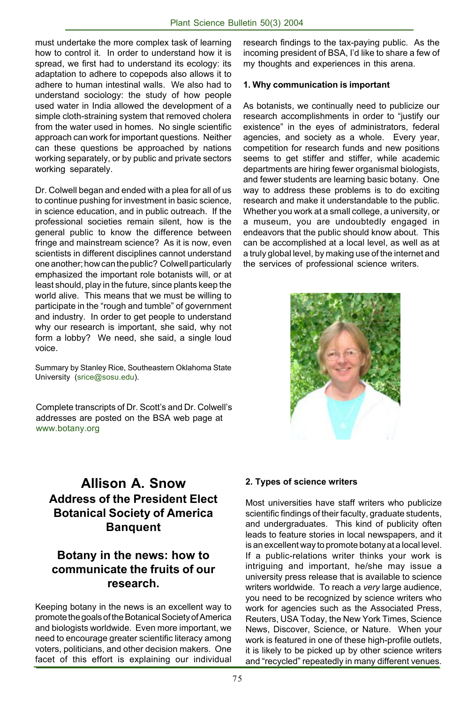must undertake the more complex task of learning how to control it. In order to understand how it is spread, we first had to understand its ecology: its adaptation to adhere to copepods also allows it to adhere to human intestinal walls. We also had to understand sociology: the study of how people used water in India allowed the development of a simple cloth-straining system that removed cholera from the water used in homes. No single scientific approach can work for important questions. Neither can these questions be approached by nations working separately, or by public and private sectors working separately.

Dr. Colwell began and ended with a plea for all of us to continue pushing for investment in basic science, in science education, and in public outreach. If the professional societies remain silent, how is the general public to know the difference between fringe and mainstream science? As it is now, even scientists in different disciplines cannot understand one another; how can the public? Colwell particularly emphasized the important role botanists will, or at least should, play in the future, since plants keep the world alive. This means that we must be willing to participate in the "rough and tumble" of government and industry. In order to get people to understand why our research is important, she said, why not form a lobby? We need, she said, a single loud voice.

Summary by Stanley Rice, Southeastern Oklahoma State University (srice@sosu.edu).

Complete transcripts of Dr. Scott's and Dr. Colwell's addresses are posted on the BSA web page at www.botany.org

research findings to the tax-paying public. As the incoming president of BSA, I'd like to share a few of my thoughts and experiences in this arena.

#### **1. Why communication is important**

As botanists, we continually need to publicize our research accomplishments in order to "justify our existence" in the eyes of administrators, federal agencies, and society as a whole. Every year, competition for research funds and new positions seems to get stiffer and stiffer, while academic departments are hiring fewer organismal biologists, and fewer students are learning basic botany. One way to address these problems is to do exciting research and make it understandable to the public. Whether you work at a small college, a university, or a museum, you are undoubtedly engaged in endeavors that the public should know about. This can be accomplished at a local level, as well as at a truly global level, by making use of the internet and the services of professional science writers.



### **Allison A. Snow Address of the President Elect Botanical Society of America Banquent**

#### **Botany in the news: how to communicate the fruits of our research.**

Keeping botany in the news is an excellent way to promote the goals of the Botanical Society of America and biologists worldwide. Even more important, we need to encourage greater scientific literacy among voters, politicians, and other decision makers. One facet of this effort is explaining our individual

#### **2. Types of science writers**

Most universities have staff writers who publicize scientific findings of their faculty, graduate students, and undergraduates. This kind of publicity often leads to feature stories in local newspapers, and it is an excellent way to promote botany at a local level. If a public-relations writer thinks your work is intriguing and important, he/she may issue a university press release that is available to science writers worldwide. To reach a *very* large audience, you need to be recognized by science writers who work for agencies such as the Associated Press, Reuters, USA Today, the New York Times, Science News, Discover, Science, or Nature. When your work is featured in one of these high-profile outlets, it is likely to be picked up by other science writers and "recycled" repeatedly in many different venues.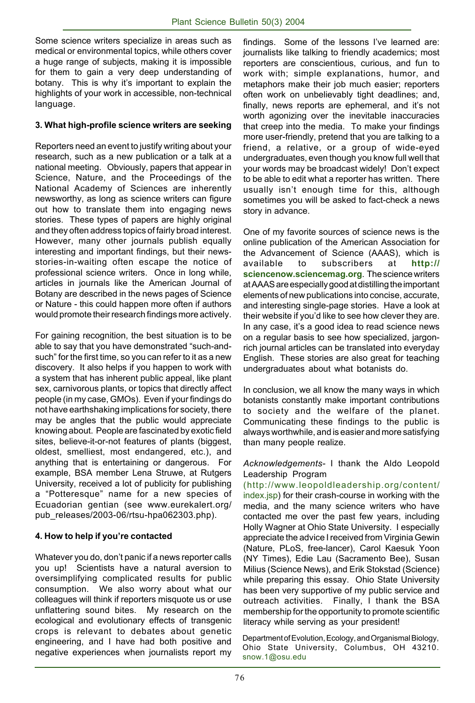Some science writers specialize in areas such as medical or environmental topics, while others cover a huge range of subjects, making it is impossible for them to gain a very deep understanding of botany. This is why it's important to explain the highlights of your work in accessible, non-technical language.

#### **3. What high-profile science writers are seeking**

Reporters need an event to justify writing about your research, such as a new publication or a talk at a national meeting. Obviously, papers that appear in Science, Nature, and the Proceedings of the National Academy of Sciences are inherently newsworthy, as long as science writers can figure out how to translate them into engaging news stories. These types of papers are highly original and they often address topics of fairly broad interest. However, many other journals publish equally interesting and important findings, but their newsstories-in-waiting often escape the notice of professional science writers. Once in long while, articles in journals like the American Journal of Botany are described in the news pages of Science or Nature - this could happen more often if authors would promote their research findings more actively.

For gaining recognition, the best situation is to be able to say that you have demonstrated "such-andsuch" for the first time, so you can refer to it as a new discovery. It also helps if you happen to work with a system that has inherent public appeal, like plant sex, carnivorous plants, or topics that directly affect people (in my case, GMOs). Even if your findings do not have earthshaking implications for society, there may be angles that the public would appreciate knowing about. People are fascinated by exotic field sites, believe-it-or-not features of plants (biggest, oldest, smelliest, most endangered, etc.), and anything that is entertaining or dangerous. For example, BSA member Lena Struwe, at Rutgers University, received a lot of publicity for publishing a "Potteresque" name for a new species of Ecuadorian gentian (see www.eurekalert.org/ pub\_releases/2003-06/rtsu-hpa062303.php).

#### **4. How to help if youíre contacted**

Whatever you do, don't panic if a news reporter calls you up! Scientists have a natural aversion to oversimplifying complicated results for public consumption. We also worry about what our colleagues will think if reporters misquote us or use unflattering sound bites. My research on the ecological and evolutionary effects of transgenic crops is relevant to debates about genetic engineering, and I have had both positive and negative experiences when journalists report my findings. Some of the lessons I've learned are: journalists like talking to friendly academics; most reporters are conscientious, curious, and fun to work with; simple explanations, humor, and metaphors make their job much easier; reporters often work on unbelievably tight deadlines; and, finally, news reports are ephemeral, and it's not worth agonizing over the inevitable inaccuracies that creep into the media. To make your findings more user-friendly, pretend that you are talking to a friend, a relative, or a group of wide-eyed undergraduates, even though you know full well that your words may be broadcast widely! Donít expect to be able to edit what a reporter has written. There usually isn't enough time for this, although sometimes you will be asked to fact-check a news story in advance.

One of my favorite sources of science news is the online publication of the American Association for the Advancement of Science (AAAS), which is available to subscribers at **http:// sciencenow.sciencemag.org**. The science writers at AAAS are especially good at distilling the important elements of new publications into concise, accurate, and interesting single-page stories. Have a look at their website if youíd like to see how clever they are. In any case, it's a good idea to read science news on a regular basis to see how specialized, jargonrich journal articles can be translated into everyday English. These stories are also great for teaching undergraduates about what botanists do.

In conclusion, we all know the many ways in which botanists constantly make important contributions to society and the welfare of the planet. Communicating these findings to the public is always worthwhile, and is easier and more satisfying than many people realize.

*Acknowledgements-* I thank the Aldo Leopold Leadership Program

(http://www.leopoldleadership.org/content/ index.jsp) for their crash-course in working with the media, and the many science writers who have contacted me over the past few years, including Holly Wagner at Ohio State University. I especially appreciate the advice I received from Virginia Gewin (Nature, PLoS, free-lancer), Carol Kaesuk Yoon (NY Times), Edie Lau (Sacramento Bee), Susan Milius (Science News), and Erik Stokstad (Science) while preparing this essay. Ohio State University has been very supportive of my public service and outreach activities. Finally, I thank the BSA membership for the opportunity to promote scientific literacy while serving as your president!

Department of Evolution, Ecology, and Organismal Biology, Ohio State University, Columbus, OH 43210. snow.1@osu.edu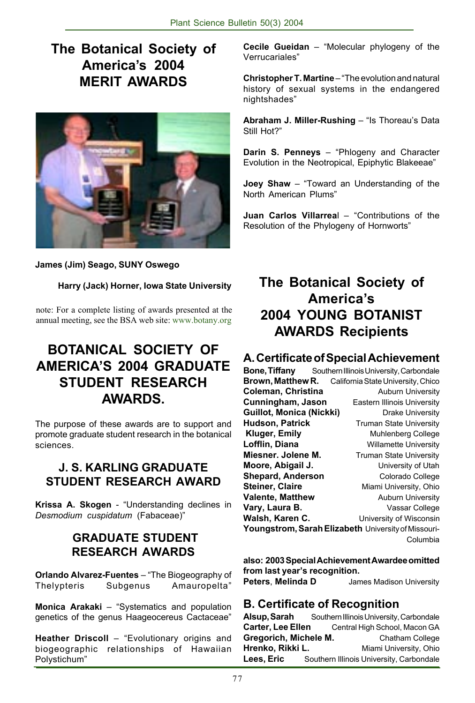### **The Botanical Society of Americaís 2004 MERIT AWARDS**



#### **James (Jim) Seago, SUNY Oswego**

#### **Harry (Jack) Horner, Iowa State University**

note: For a complete listing of awards presented at the annual meeting, see the BSA web site: www.botany.org

### **BOTANICAL SOCIETY OF AMERICAíS 2004 GRADUATE STUDENT RESEARCH AWARDS.**

The purpose of these awards are to support and promote graduate student research in the botanical sciences.

#### **J. S. KARLING GRADUATE STUDENT RESEARCH AWARD**

Krissa A. Skogen - "Understanding declines in **Desmodium cuspidatum (Fabaceae)**"

#### **GRADUATE STUDENT RESEARCH AWARDS**

**Orlando Alvarez-Fuentes** – "The Biogeography of Thelypteris Subgenus Amauropeltaî

**Monica Arakaki** – "Systematics and population genetics of the genus Haageocereus Cactaceae"

**Heather Driscoll** – "Evolutionary origins and biogeographic relationships of Hawaiian Polystichum"

**Cecile Gueidan** – "Molecular phylogeny of the Verrucariales<sup>"</sup>

**Christopher T. Martine** – "The evolution and natural history of sexual systems in the endangered nightshades"

**Abraham J. Miller-Rushing** - "Is Thoreau's Data Still Hot?"

**Darin S. Penneys** – "Phlogeny and Character Evolution in the Neotropical, Epiphytic Blakeeae"

**Joey Shaw** – "Toward an Understanding of the North American Plums"

**Juan Carlos Villarreal - "Contributions of the** Resolution of the Phylogeny of Hornworts"

### **The Botanical Society of Americaís 2004 YOUNG BOTANIST AWARDS Recipients**

#### **A. Certificate of Special Achievement**

**Bone, Tiffany** Southern Illinois University, Carbondale<br>**Brown, Matthew R.** California State University. Chico **California State University, Chico Coleman, Christina Auburn University Cunningham, Jason** Eastern Illinois University **Guillot, Monica (Nickki)** Drake University **Hudson, Patrick Truman State University Kluger, Emily Muhlenberg College Lofflin, Diana Willamette University Miesner. Jolene M. Truman State University Moore, Abigail J. University of Utah Shepard, Anderson Colorado College Steiner, Claire Miami University, Ohio Valente, Matthew Auburn University Vary, Laura B.** Vassar College Walsh, Karen C. **University of Wisconsin Youngstrom, Sarah Elizabeth** University of Missouri- Columbia

**also: 2003 Special Achievement Awardee omitted** from last year's recognition.

**Peters**, **Melinda D** James Madison University

#### **B. Certificate of Recognition**

**Alsup, Sarah** Southern Illinois University, Carbondale Carter, Lee Ellen Central High School, Macon GA **Gregorich, Michele M.** Chatham College **Hrenko, Rikki L. Miami University, Ohio** Lees, Eric Southern Illinois University, Carbondale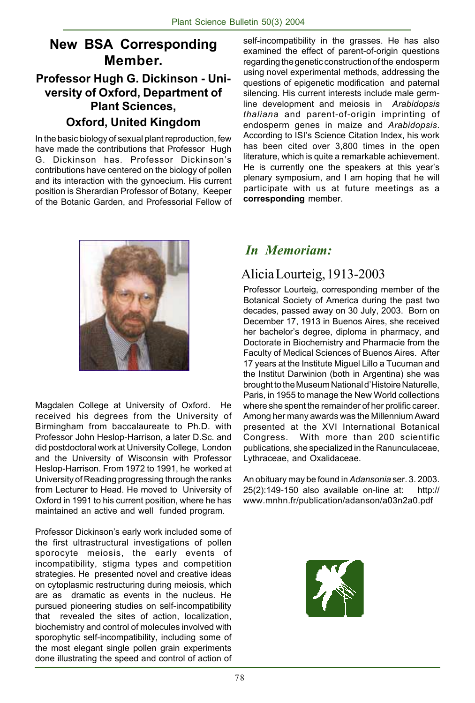## **New BSA Corresponding Member.**

### **Professor Hugh G. Dickinson - University of Oxford, Department of Plant Sciences,**

### **Oxford, United Kingdom**

In the basic biology of sexual plant reproduction, few have made the contributions that Professor Hugh G. Dickinson has. Professor Dickinsonís contributions have centered on the biology of pollen and its interaction with the gynoecium. His current position is Sherardian Professor of Botany, Keeper of the Botanic Garden, and Professorial Fellow of self-incompatibility in the grasses. He has also examined the effect of parent-of-origin questions regarding the genetic construction of the endosperm using novel experimental methods, addressing the questions of epigenetic modification and paternal silencing. His current interests include male germline development and meiosis in *Arabidopsis thaliana* and parent-of-origin imprinting of endosperm genes in maize and *Arabidopsis*. According to ISI's Science Citation Index, his work has been cited over 3,800 times in the open literature, which is quite a remarkable achievement. He is currently one the speakers at this year's plenary symposium, and I am hoping that he will participate with us at future meetings as a **corresponding** member.



Magdalen College at University of Oxford. He received his degrees from the University of Birmingham from baccalaureate to Ph.D. with Professor John Heslop-Harrison, a later D.Sc. and did postdoctoral work at University College, London and the University of Wisconsin with Professor Heslop-Harrison. From 1972 to 1991, he worked at University of Reading progressing through the ranks from Lecturer to Head. He moved to University of Oxford in 1991 to his current position, where he has maintained an active and well funded program.

Professor Dickinson's early work included some of the first ultrastructural investigations of pollen sporocyte meiosis, the early events of incompatibility, stigma types and competition strategies. He presented novel and creative ideas on cytoplasmic restructuring during meiosis, which are as dramatic as events in the nucleus. He pursued pioneering studies on self-incompatibility that revealed the sites of action, localization, biochemistry and control of molecules involved with sporophytic self-incompatibility, including some of the most elegant single pollen grain experiments done illustrating the speed and control of action of

### *In Memoriam:*

### Alicia Lourteig, 1913-2003

Professor Lourteig, corresponding member of the Botanical Society of America during the past two decades, passed away on 30 July, 2003. Born on December 17, 1913 in Buenos Aires, she received her bachelor's degree, diploma in pharmacy, and Doctorate in Biochemistry and Pharmacie from the Faculty of Medical Sciences of Buenos Aires. After 17 years at the Institute Miguel Lillo a Tucuman and the Institut Darwinion (both in Argentina) she was brought to the Museum National d'Histoire Naturelle, Paris, in 1955 to manage the New World collections where she spent the remainder of her prolific career. Among her many awards was the Millennium Award presented at the XVI International Botanical Congress. With more than 200 scientific publications, she specialized in the Ranunculaceae, Lythraceae, and Oxalidaceae.

An obituary may be found in *Adansonia* ser. 3. 2003. 25(2):149-150 also available on-line at: http:// www.mnhn.fr/publication/adanson/a03n2a0.pdf

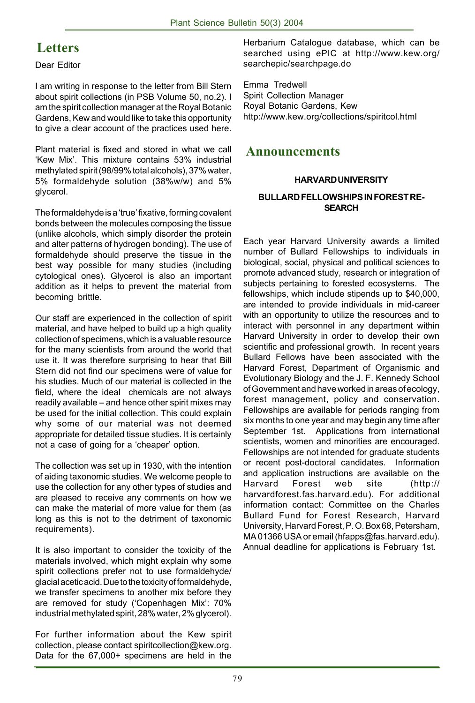### **Letters**

Dear Editor

I am writing in response to the letter from Bill Stern about spirit collections (in PSB Volume 50, no.2). I am the spirit collection manager at the Royal Botanic Gardens, Kew and would like to take this opportunity to give a clear account of the practices used here.

Plant material is fixed and stored in what we call 'Kew Mix'. This mixture contains 53% industrial methylated spirit (98/99% total alcohols), 37% water, 5% formaldehyde solution (38%w/w) and 5% glycerol.

The formaldehyde is a 'true' fixative, forming covalent bonds between the molecules composing the tissue (unlike alcohols, which simply disorder the protein and alter patterns of hydrogen bonding). The use of formaldehyde should preserve the tissue in the best way possible for many studies (including cytological ones). Glycerol is also an important addition as it helps to prevent the material from becoming brittle.

Our staff are experienced in the collection of spirit material, and have helped to build up a high quality collection of specimens, which is a valuable resource for the many scientists from around the world that use it. It was therefore surprising to hear that Bill Stern did not find our specimens were of value for his studies. Much of our material is collected in the field, where the ideal chemicals are not always readily available – and hence other spirit mixes may be used for the initial collection. This could explain why some of our material was not deemed appropriate for detailed tissue studies. It is certainly not a case of going for a 'cheaper' option.

The collection was set up in 1930, with the intention of aiding taxonomic studies. We welcome people to use the collection for any other types of studies and are pleased to receive any comments on how we can make the material of more value for them (as long as this is not to the detriment of taxonomic requirements).

It is also important to consider the toxicity of the materials involved, which might explain why some spirit collections prefer not to use formaldehyde/ glacial acetic acid. Due to the toxicity of formaldehyde, we transfer specimens to another mix before they are removed for study ('Copenhagen Mix': 70% industrial methylated spirit, 28% water, 2% glycerol).

For further information about the Kew spirit collection, please contact spiritcollection@kew.org. Data for the 67,000+ specimens are held in the

Herbarium Catalogue database, which can be searched using ePIC at http://www.kew.org/ searchepic/searchpage.do

Emma Tredwell Spirit Collection Manager Royal Botanic Gardens, Kew http://www.kew.org/collections/spiritcol.html

#### **Announcements**

#### **HARVARD UNIVERSITY**

#### **BULLARD FELLOWSHIPS IN FOREST RE-SEARCH**

Each year Harvard University awards a limited number of Bullard Fellowships to individuals in biological, social, physical and political sciences to promote advanced study, research or integration of subjects pertaining to forested ecosystems. The fellowships, which include stipends up to \$40,000, are intended to provide individuals in mid-career with an opportunity to utilize the resources and to interact with personnel in any department within Harvard University in order to develop their own scientific and professional growth. In recent years Bullard Fellows have been associated with the Harvard Forest, Department of Organismic and Evolutionary Biology and the J. F. Kennedy School of Government and have worked in areas of ecology, forest management, policy and conservation. Fellowships are available for periods ranging from six months to one year and may begin any time after September 1st. Applications from international scientists, women and minorities are encouraged. Fellowships are not intended for graduate students or recent post-doctoral candidates. Information and application instructions are available on the Harvard Forest web site (http:// harvardforest.fas.harvard.edu). For additional information contact: Committee on the Charles Bullard Fund for Forest Research, Harvard University, Harvard Forest, P. O. Box 68, Petersham, MA 01366 USA or email (hfapps@fas.harvard.edu). Annual deadline for applications is February 1st.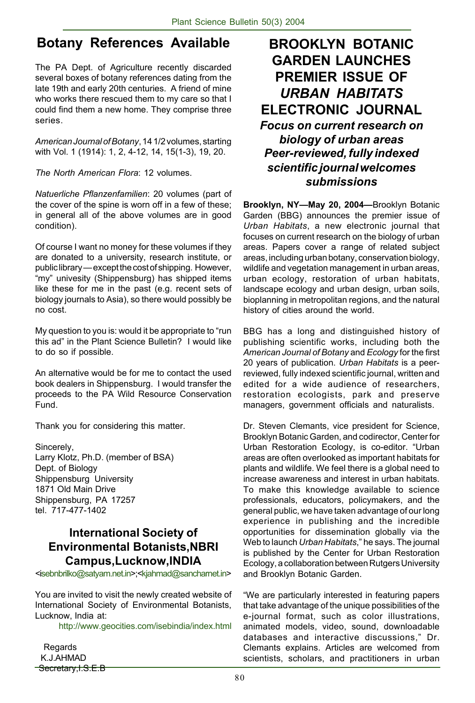### **Botany References Available**

The PA Dept. of Agriculture recently discarded several boxes of botany references dating from the late 19th and early 20th centuries. A friend of mine who works there rescued them to my care so that I could find them a new home. They comprise three series.

*American Journal of Botany*, 14 1/2 volumes, starting with Vol. 1 (1914): 1, 2, 4-12, 14, 15(1-3), 19, 20.

*The North American Flora*: 12 volumes.

*Natuerliche Pflanzenfamilien*: 20 volumes (part of the cover of the spine is worn off in a few of these; in general all of the above volumes are in good condition).

Of course I want no money for these volumes if they are donated to a university, research institute, or public library - except the cost of shipping. However, ìmyî univesity (Shippensburg) has shipped items like these for me in the past (e.g. recent sets of biology journals to Asia), so there would possibly be no cost.

My question to you is: would it be appropriate to "run this ad" in the Plant Science Bulletin? I would like to do so if possible.

An alternative would be for me to contact the used book dealers in Shippensburg. I would transfer the proceeds to the PA Wild Resource Conservation Fund.

Thank you for considering this matter.

Sincerely, Larry Klotz, Ph.D. (member of BSA) Dept. of Biology Shippensburg University 1871 Old Main Drive Shippensburg, PA 17257 tel. 717-477-1402

#### **International Society of Environmental Botanists,NBRI Campus,Lucknow,INDIA**

<isebnbrilko@satyam.net.in>;<kjahmad@sancharnet.in>

You are invited to visit the newly created website of International Society of Environmental Botanists, Lucknow, India at:

http://www.geocities.com/isebindia/index.html

**Regards**  K.J.AHMAD Secretary, I.S.E.B

### **BROOKLYN BOTANIC GARDEN LAUNCHES PREMIER ISSUE OF** *URBAN HABITATS* **ELECTRONIC JOURNAL** *Focus on current research on biology of urban areas Peer-reviewed, fully indexed scientific journal welcomes submissions*

Brooklyn, NY-May 20, 2004-Brooklyn Botanic Garden (BBG) announces the premier issue of *Urban Habitats*, a new electronic journal that focuses on current research on the biology of urban areas. Papers cover a range of related subject areas, including urban botany, conservation biology, wildlife and vegetation management in urban areas, urban ecology, restoration of urban habitats, landscape ecology and urban design, urban soils, bioplanning in metropolitan regions, and the natural history of cities around the world.

BBG has a long and distinguished history of publishing scientific works, including both the *American Journal of Botany* and *Ecology* for the first 20 years of publication. *Urban Habitats* is a peerreviewed, fully indexed scientific journal, written and edited for a wide audience of researchers, restoration ecologists, park and preserve managers, government officials and naturalists.

Dr. Steven Clemants, vice president for Science, Brooklyn Botanic Garden, and codirector, Center for Urban Restoration Ecology, is co-editor. "Urban areas are often overlooked as important habitats for plants and wildlife. We feel there is a global need to increase awareness and interest in urban habitats. To make this knowledge available to science professionals, educators, policymakers, and the general public, we have taken advantage of our long experience in publishing and the incredible opportunities for dissemination globally via the Web to launch *Urban Habitats*," he says. The journal is published by the Center for Urban Restoration Ecology, a collaboration between Rutgers University and Brooklyn Botanic Garden.

ìWe are particularly interested in featuring papers that take advantage of the unique possibilities of the e-journal format, such as color illustrations, animated models, video, sound, downloadable databases and interactive discussions." Dr. Clemants explains. Articles are welcomed from scientists, scholars, and practitioners in urban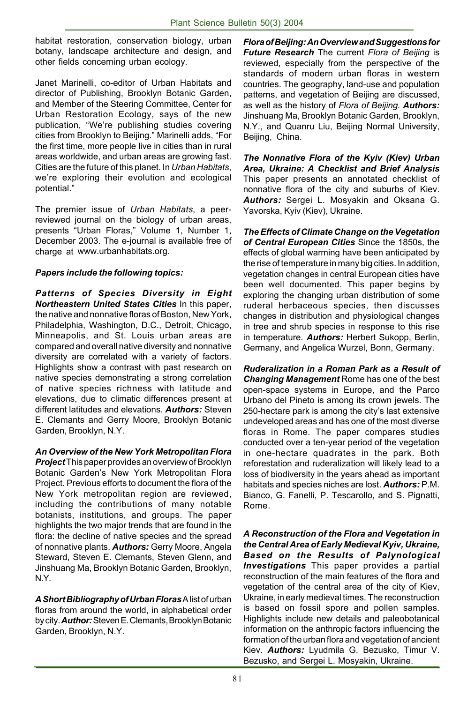habitat restoration, conservation biology, urban botany, landscape architecture and design, and other fields concerning urban ecology.

Janet Marinelli, co-editor of Urban Habitats and director of Publishing, Brooklyn Botanic Garden, and Member of the Steering Committee, Center for Urban Restoration Ecology, says of the new publication, "We're publishing studies covering cities from Brooklyn to Beijing." Marinelli adds, "For the first time, more people live in cities than in rural areas worldwide, and urban areas are growing fast. Cities are the future of this planet. In *Urban Habitats*, we're exploring their evolution and ecological potential."

The premier issue of *Urban Habitats*, a peerreviewed journal on the biology of urban areas, presents "Urban Floras," Volume 1, Number 1, December 2003. The e-journal is available free of charge at www.urbanhabitats.org.

#### *Papers include the following topics:*

*Patterns of Species Diversity in Eight Northeastern United States Cities* In this paper, the native and nonnative floras of Boston, New York, Philadelphia, Washington, D.C., Detroit, Chicago, Minneapolis, and St. Louis urban areas are compared and overall native diversity and nonnative diversity are correlated with a variety of factors. Highlights show a contrast with past research on native species demonstrating a strong correlation of native species richness with latitude and elevations, due to climatic differences present at different latitudes and elevations. *Authors:* Steven E. Clemants and Gerry Moore, Brooklyn Botanic Garden, Brooklyn, N.Y.

*An Overview of the New York Metropolitan Flora Project* This paper provides an overview of Brooklyn Botanic Gardenís New York Metropolitan Flora Project. Previous efforts to document the flora of the New York metropolitan region are reviewed, including the contributions of many notable botanists, institutions, and groups. The paper highlights the two major trends that are found in the flora: the decline of native species and the spread of nonnative plants. *Authors:* Gerry Moore, Angela Steward, Steven E. Clemants, Steven Glenn, and Jinshuang Ma, Brooklyn Botanic Garden, Brooklyn, N.Y.

*A Short Bibliography of Urban Floras* A list of urban floras from around the world, in alphabetical order by city. *Author:* Steven E. Clemants, Brooklyn Botanic Garden, Brooklyn, N.Y.

*Flora of Beijing: An Overview and Suggestions for Future Research* The current *Flora of Beijing* is reviewed, especially from the perspective of the standards of modern urban floras in western countries. The geography, land-use and population patterns, and vegetation of Beijing are discussed, as well as the history of *Flora of Beijing. Authors:* Jinshuang Ma, Brooklyn Botanic Garden, Brooklyn, N.Y., and Quanru Liu, Beijing Normal University, Beijing, China.

*The Nonnative Flora of the Kyiv (Kiev) Urban Area, Ukraine: A Checklist and Brief Analysis* This paper presents an annotated checklist of nonnative flora of the city and suburbs of Kiev. *Authors:* Sergei L. Mosyakin and Oksana G. Yavorska, Kyiv (Kiev), Ukraine.

*The Effects of Climate Change on the Vegetation of Central European Cities* Since the 1850s, the effects of global warming have been anticipated by the rise of temperature in many big cities. In addition, vegetation changes in central European cities have been well documented. This paper begins by exploring the changing urban distribution of some ruderal herbaceous species, then discusses changes in distribution and physiological changes in tree and shrub species in response to this rise in temperature. *Authors:* Herbert Sukopp, Berlin, Germany, and Angelica Wurzel, Bonn, Germany.

*Ruderalization in a Roman Park as a Result of Changing Management* Rome has one of the best open-space systems in Europe, and the Parco Urbano del Pineto is among its crown jewels. The 250-hectare park is among the cityís last extensive undeveloped areas and has one of the most diverse floras in Rome. The paper compares studies conducted over a ten-year period of the vegetation in one-hectare quadrates in the park. Both reforestation and ruderalization will likely lead to a loss of biodiversity in the years ahead as important habitats and species niches are lost. *Authors:* P.M. Bianco, G. Fanelli, P. Tescarollo, and S. Pignatti, Rome.

*A Reconstruction of the Flora and Vegetation in the Central Area of Early Medieval Kyiv, Ukraine, Based on the Results of Palynological Investigations* This paper provides a partial reconstruction of the main features of the flora and vegetation of the central area of the city of Kiev, Ukraine, in early medieval times. The reconstruction is based on fossil spore and pollen samples. Highlights include new details and paleobotanical information on the anthropic factors influencing the formation of the urban flora and vegetation of ancient Kiev. *Authors:* Lyudmila G. Bezusko, Timur V. Bezusko, and Sergei L. Mosyakin, Ukraine.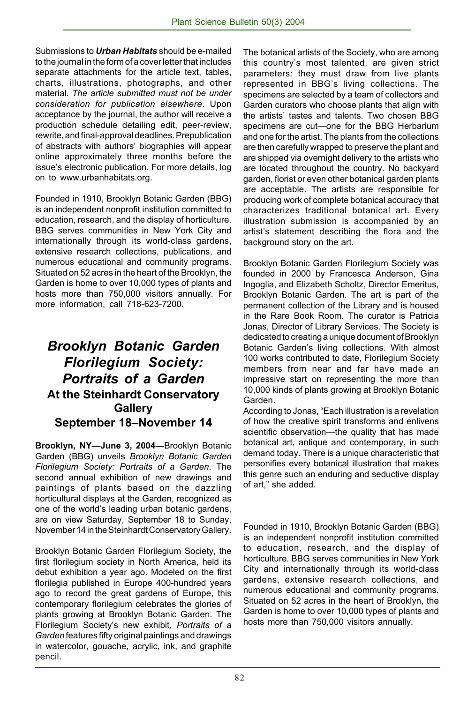Submissions to *Urban Habitats* should be e-mailed to the journal in the form of a cover letter that includes separate attachments for the article text, tables, charts, illustrations, photographs, and other material. *The article submitted must not be under consideration for publication elsewhere*. Upon acceptance by the journal, the author will receive a production schedule detailing edit, peer-review, rewrite, and final-approval deadlines. Prepublication of abstracts with authors' biographies will appear online approximately three months before the issue's electronic publication. For more details, log on to www.urbanhabitats.org.

Founded in 1910, Brooklyn Botanic Garden (BBG) is an independent nonprofit institution committed to education, research, and the display of horticulture. BBG serves communities in New York City and internationally through its world-class gardens, extensive research collections, publications, and numerous educational and community programs. Situated on 52 acres in the heart of the Brooklyn, the Garden is home to over 10,000 types of plants and hosts more than 750,000 visitors annually. For more information, call 718-623-7200.

### *Brooklyn Botanic Garden Florilegium Society: Portraits of a Garden* **At the Steinhardt Conservatory Gallery September 18-November 14**

Brooklyn, NY-June 3, 2004-Brooklyn Botanic Garden (BBG) unveils *Brooklyn Botanic Garden Florilegium Society: Portraits of a Garden*. The second annual exhibition of new drawings and paintings of plants based on the dazzling horticultural displays at the Garden, recognized as one of the world's leading urban botanic gardens, are on view Saturday, September 18 to Sunday, November 14 in the Steinhardt Conservatory Gallery.

Brooklyn Botanic Garden Florilegium Society, the first florilegium society in North America, held its debut exhibition a year ago. Modeled on the first florilegia published in Europe 400-hundred years ago to record the great gardens of Europe, this contemporary florilegium celebrates the glories of plants growing at Brooklyn Botanic Garden. The Florilegium Societyís new exhibit, *Portraits of a Garden* features fifty original paintings and drawings in watercolor, gouache, acrylic, ink, and graphite pencil.

The botanical artists of the Society, who are among this countryís most talented, are given strict parameters: they must draw from live plants represented in BBG's living collections. The specimens are selected by a team of collectors and Garden curators who choose plants that align with the artists' tastes and talents. Two chosen BBG specimens are cut-one for the BBG Herbarium and one for the artist. The plants from the collections are then carefully wrapped to preserve the plant and are shipped via overnight delivery to the artists who are located throughout the country. No backyard garden, florist or even other botanical garden plants are acceptable. The artists are responsible for producing work of complete botanical accuracy that characterizes traditional botanical art. Every illustration submission is accompanied by an artist's statement describing the flora and the background story on the art.

Brooklyn Botanic Garden Florilegium Society was founded in 2000 by Francesca Anderson, Gina Ingoglia, and Elizabeth Scholtz, Director Emeritus, Brooklyn Botanic Garden. The art is part of the permanent collection of the Library and is housed in the Rare Book Room. The curator is Patricia Jonas, Director of Library Services. The Society is dedicated to creating a unique document of Brooklyn Botanic Garden's living collections. With almost 100 works contributed to date, Florilegium Society members from near and far have made an impressive start on representing the more than 10,000 kinds of plants growing at Brooklyn Botanic Garden.

According to Jonas, "Each illustration is a revelation of how the creative spirit transforms and enlivens scientific observation-the quality that has made botanical art, antique and contemporary, in such demand today. There is a unique characteristic that personifies every botanical illustration that makes this genre such an enduring and seductive display of art," she added.

Founded in 1910, Brooklyn Botanic Garden (BBG) is an independent nonprofit institution committed to education, research, and the display of horticulture. BBG serves communities in New York City and internationally through its world-class gardens, extensive research collections, and numerous educational and community programs. Situated on 52 acres in the heart of Brooklyn, the Garden is home to over 10,000 types of plants and hosts more than 750,000 visitors annually.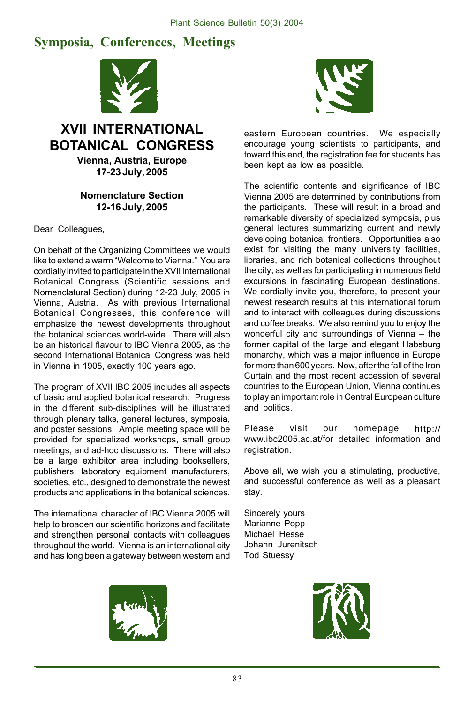### **Symposia, Conferences, Meetings**



### **XVII INTERNATIONAL BOTANICAL CONGRESS**

**Vienna, Austria, Europe 17-23 July, 2005**

#### **Nomenclature Section 12-16 July, 2005**

Dear Colleagues,

On behalf of the Organizing Committees we would like to extend a warm "Welcome to Vienna." You are cordially invited to participate in the XVII International Botanical Congress (Scientific sessions and Nomenclatural Section) during 12-23 July, 2005 in Vienna, Austria. As with previous International Botanical Congresses, this conference will emphasize the newest developments throughout the botanical sciences world-wide. There will also be an historical flavour to IBC Vienna 2005, as the second International Botanical Congress was held in Vienna in 1905, exactly 100 years ago.

The program of XVII IBC 2005 includes all aspects of basic and applied botanical research. Progress in the different sub-disciplines will be illustrated through plenary talks, general lectures, symposia, and poster sessions. Ample meeting space will be provided for specialized workshops, small group meetings, and ad-hoc discussions. There will also be a large exhibitor area including booksellers, publishers, laboratory equipment manufacturers, societies, etc., designed to demonstrate the newest products and applications in the botanical sciences.

The international character of IBC Vienna 2005 will help to broaden our scientific horizons and facilitate and strengthen personal contacts with colleagues throughout the world. Vienna is an international city and has long been a gateway between western and



eastern European countries. We especially encourage young scientists to participants, and toward this end, the registration fee for students has been kept as low as possible.

The scientific contents and significance of IBC Vienna 2005 are determined by contributions from the participants. These will result in a broad and remarkable diversity of specialized symposia, plus general lectures summarizing current and newly developing botanical frontiers. Opportunities also exist for visiting the many university facilities, libraries, and rich botanical collections throughout the city, as well as for participating in numerous field excursions in fascinating European destinations. We cordially invite you, therefore, to present your newest research results at this international forum and to interact with colleagues during discussions and coffee breaks. We also remind you to enjoy the wonderful city and surroundings of Vienna  $-$  the former capital of the large and elegant Habsburg monarchy, which was a major influence in Europe for more than 600 years. Now, after the fall of the Iron Curtain and the most recent accession of several countries to the European Union, Vienna continues to play an important role in Central European culture and politics.

Please visit our homepage http:// www.ibc2005.ac.at/for detailed information and registration.

Above all, we wish you a stimulating, productive, and successful conference as well as a pleasant stay.

Sincerely yours Marianne Popp Michael Hesse Johann Jurenitsch Tod Stuessy



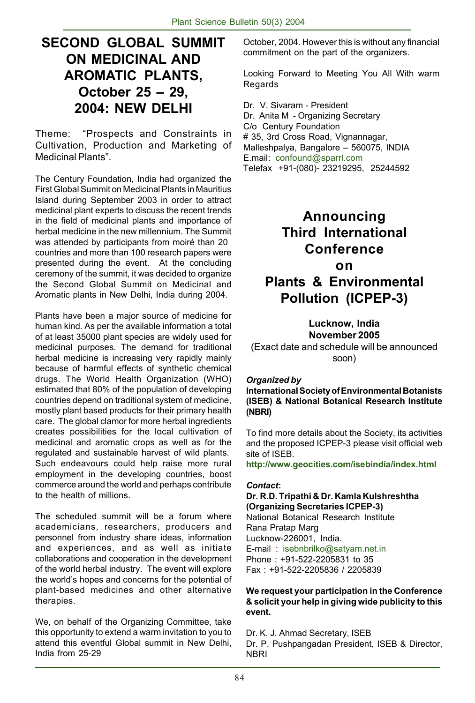### **SECOND GLOBAL SUMMIT ON MEDICINAL AND AROMATIC PLANTS, October 25 – 29. 2004: NEW DELHI**

Theme: "Prospects and Constraints in Cultivation, Production and Marketing of Medicinal Plants".

The Century Foundation, India had organized the First Global Summit on Medicinal Plants in Mauritius Island during September 2003 in order to attract medicinal plant experts to discuss the recent trends in the field of medicinal plants and importance of herbal medicine in the new millennium. The Summit was attended by participants from moiré than 20 countries and more than 100 research papers were presented during the event. At the concluding ceremony of the summit, it was decided to organize the Second Global Summit on Medicinal and Aromatic plants in New Delhi, India during 2004.

Plants have been a major source of medicine for human kind. As per the available information a total of at least 35000 plant species are widely used for medicinal purposes. The demand for traditional herbal medicine is increasing very rapidly mainly because of harmful effects of synthetic chemical drugs. The World Health Organization (WHO) estimated that 80% of the population of developing countries depend on traditional system of medicine, mostly plant based products for their primary health care. The global clamor for more herbal ingredients creates possibilities for the local cultivation of medicinal and aromatic crops as well as for the regulated and sustainable harvest of wild plants. Such endeavours could help raise more rural employment in the developing countries, boost commerce around the world and perhaps contribute to the health of millions.

The scheduled summit will be a forum where academicians, researchers, producers and personnel from industry share ideas, information and experiences, and as well as initiate collaborations and cooperation in the development of the world herbal industry. The event will explore the world's hopes and concerns for the potential of plant-based medicines and other alternative therapies.

We, on behalf of the Organizing Committee, take this opportunity to extend a warm invitation to you to attend this eventful Global summit in New Delhi, India from 25-29

October, 2004. However this is without any financial commitment on the part of the organizers.

Looking Forward to Meeting You All With warm Regards

Dr. V. Sivaram - President Dr. Anita M - Organizing Secretary C/o Century Foundation # 35, 3rd Cross Road, Vignannagar, Malleshpalya, Bangalore - 560075, INDIA E.mail: confound@sparrl.com Telefax +91-(080)- 23219295, 25244592

### **Announcing Third International Conference on Plants & Environmental**

**Pollution (ICPEP-3)**

**Lucknow, India November 2005** (Exact date and schedule will be announced soon)

#### *Organized by*

**International Society of Environmental Botanists (ISEB) & National Botanical Research Institute (NBRI)**

To find more details about the Society, its activities and the proposed ICPEP-3 please visit official web site of ISEB.

**http://www.geocities.com/isebindia/index.html**

#### *Contact***:**

#### **Dr. R.D. Tripathi & Dr. Kamla Kulshreshtha (Organizing Secretaries ICPEP-3)**

National Botanical Research Institute Rana Pratap Marg Lucknow-226001, India. E-mail : isebnbrilko@satyam.net.in Phone : +91-522-2205831 to 35 Fax : +91-522-2205836 / 2205839

#### **We request your participation in the Conference & solicit your help in giving wide publicity to this event.**

Dr. K. J. Ahmad Secretary, ISEB Dr. P. Pushpangadan President, ISEB & Director, **NBRI**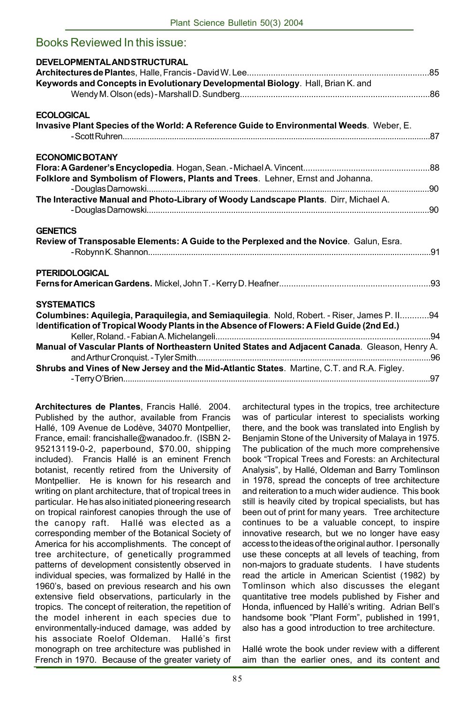| Books Reviewed In this issue:                                                                                                                                                                                                                                                                                      |  |
|--------------------------------------------------------------------------------------------------------------------------------------------------------------------------------------------------------------------------------------------------------------------------------------------------------------------|--|
| DEVELOPMENTAL AND STRUCTURAL<br>Keywords and Concepts in Evolutionary Developmental Biology. Hall, Brian K. and                                                                                                                                                                                                    |  |
| <b>ECOLOGICAL</b>                                                                                                                                                                                                                                                                                                  |  |
| Invasive Plant Species of the World: A Reference Guide to Environmental Weeds. Weber, E.                                                                                                                                                                                                                           |  |
| <b>ECONOMIC BOTANY</b>                                                                                                                                                                                                                                                                                             |  |
| Folklore and Symbolism of Flowers, Plants and Trees. Lehner, Ernst and Johanna.                                                                                                                                                                                                                                    |  |
| The Interactive Manual and Photo-Library of Woody Landscape Plants. Dirr, Michael A.                                                                                                                                                                                                                               |  |
| <b>GENETICS</b><br>Review of Transposable Elements: A Guide to the Perplexed and the Novice. Galun, Esra.                                                                                                                                                                                                          |  |
| <b>PTERIDOLOGICAL</b>                                                                                                                                                                                                                                                                                              |  |
| <b>SYSTEMATICS</b><br>Columbines: Aquilegia, Paraquilegia, and Semiaquilegia. Nold, Robert. - Riser, James P. Il94<br>Identification of Tropical Woody Plants in the Absence of Flowers: A Field Guide (2nd Ed.)<br>Manual of Vascular Plants of Northeastern United States and Adjacent Canada. Gleason, Henry A. |  |
| Shrubs and Vines of New Jersey and the Mid-Atlantic States. Martine, C.T. and R.A. Figley.                                                                                                                                                                                                                         |  |

**Architectures de Plantes**, Francis HallÈ. 2004. Published by the author, available from Francis Hallé, 109 Avenue de Lodève, 34070 Montpellier, France, email: francishalle@wanadoo.fr. (ISBN 2- 95213119-0-2, paperbound, \$70.00, shipping included). Francis Hallé is an eminent French botanist, recently retired from the University of Montpellier. He is known for his research and writing on plant architecture, that of tropical trees in particular. He has also initiated pioneering research on tropical rainforest canopies through the use of the canopy raft. Hallé was elected as a corresponding member of the Botanical Society of America for his accomplishments. The concept of tree architecture, of genetically programmed patterns of development consistently observed in individual species, was formalized by Hallé in the 1960's, based on previous research and his own extensive field observations, particularly in the tropics. The concept of reiteration, the repetition of the model inherent in each species due to environmentally-induced damage, was added by his associate Roelof Oldeman. Hallé's first monograph on tree architecture was published in French in 1970. Because of the greater variety of architectural types in the tropics, tree architecture was of particular interest to specialists working there, and the book was translated into English by Benjamin Stone of the University of Malaya in 1975. The publication of the much more comprehensive book "Tropical Trees and Forests: an Architectural Analysis", by Hallé, Oldeman and Barry Tomlinson in 1978, spread the concepts of tree architecture and reiteration to a much wider audience. This book still is heavily cited by tropical specialists, but has been out of print for many years. Tree architecture continues to be a valuable concept, to inspire innovative research, but we no longer have easy access to the ideas of the original author. I personally use these concepts at all levels of teaching, from non-majors to graduate students. I have students read the article in American Scientist (1982) by Tomlinson which also discusses the elegant quantitative tree models published by Fisher and Honda, influenced by Hallé's writing. Adrian Bell's handsome book "Plant Form", published in 1991, also has a good introduction to tree architecture.

Hallé wrote the book under review with a different aim than the earlier ones, and its content and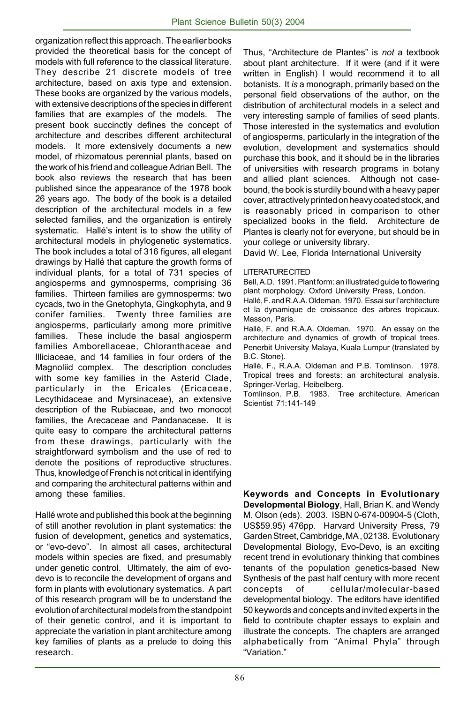organization reflect this approach. The earlier books provided the theoretical basis for the concept of models with full reference to the classical literature. They describe 21 discrete models of tree architecture, based on axis type and extension. These books are organized by the various models, with extensive descriptions of the species in different families that are examples of the models. The present book succinctly defines the concept of architecture and describes different architectural models. It more extensively documents a new model, of rhizomatous perennial plants, based on the work of his friend and colleague Adrian Bell. The book also reviews the research that has been published since the appearance of the 1978 book 26 years ago. The body of the book is a detailed description of the architectural models in a few selected families, and the organization is entirely systematic. Hallé's intent is to show the utility of architectural models in phylogenetic systematics. The book includes a total of 316 figures, all elegant drawings by Hallé that capture the growth forms of individual plants, for a total of 731 species of angiosperms and gymnosperms, comprising 36 families. Thirteen families are gymnosperms: two cycads, two in the Gnetophyta, Gingkophyta, and 9 conifer families. Twenty three families are angiosperms, particularly among more primitive families. These include the basal angiosperm families Amborellaceae, Chloranthaceae and Illiciaceae, and 14 families in four orders of the Magnoliid complex. The description concludes with some key families in the Asterid Clade, particularly in the Ericales (Ericaceae, Lecythidaceae and Myrsinaceae), an extensive description of the Rubiaceae, and two monocot families, the Arecaceae and Pandanaceae. It is quite easy to compare the architectural patterns from these drawings, particularly with the straightforward symbolism and the use of red to denote the positions of reproductive structures. Thus, knowledge of French is not critical in identifying and comparing the architectural patterns within and among these families.

Hallé wrote and published this book at the beginning of still another revolution in plant systematics: the fusion of development, genetics and systematics, or "evo-devo". In almost all cases, architectural models within species are fixed, and presumably under genetic control. Ultimately, the aim of evodevo is to reconcile the development of organs and form in plants with evolutionary systematics. A part of this research program will be to understand the evolution of architectural models from the standpoint of their genetic control, and it is important to appreciate the variation in plant architecture among key families of plants as a prelude to doing this research.

Thus, "Architecture de Plantes" is *not* a textbook about plant architecture. If it were (and if it were written in English) I would recommend it to all botanists. It *is* a monograph, primarily based on the personal field observations of the author, on the distribution of architectural models in a select and very interesting sample of families of seed plants. Those interested in the systematics and evolution of angiosperms, particularly in the integration of the evolution, development and systematics should purchase this book, and it should be in the libraries of universities with research programs in botany and allied plant sciences. Although not casebound, the book is sturdily bound with a heavy paper cover, attractively printed on heavy coated stock, and is reasonably priced in comparison to other specialized books in the field. Architecture de Plantes is clearly not for everyone, but should be in your college or university library.

David W. Lee, Florida International University

#### **LITERATURE CITED**

Bell, A.D. 1991. Plant form: an illustrated guide to flowering plant morphology. Oxford University Press, London.

Hallé, F. and R.A.A. Oldeman. 1970. Essai sur l'architecture et la dynamique de croissance des arbres tropicaux. Masson, Paris.

Hallé, F. and R.A.A. Oldeman. 1970. An essay on the architecture and dynamics of growth of tropical trees. Penerbit University Malaya, Kuala Lumpur (translated by B.C. Stone).

Hallé, F., R.A.A. Oldeman and P.B. Tomlinson. 1978. Tropical trees and forests: an architectural analysis. Springer-Verlag, Heibelberg.

Tomlinson. P.B. 1983. Tree architecture. American Scientist 71:141-149

**Keywords and Concepts in Evolutionary Developmental Biology**, Hall, Brian K. and Wendy M. Olson (eds). 2003. ISBN 0-674-00904-5 (Cloth, US\$59.95) 476pp. Harvard University Press, 79 Garden Street, Cambridge, MA , 02138. Evolutionary Developmental Biology, Evo-Devo, is an exciting recent trend in evolutionary thinking that combines tenants of the population genetics-based New Synthesis of the past half century with more recent concepts of cellular/molecular-based developmental biology. The editors have identified 50 keywords and concepts and invited experts in the field to contribute chapter essays to explain and illustrate the concepts. The chapters are arranged alphabetically from "Animal Phyla" through ìVariation.î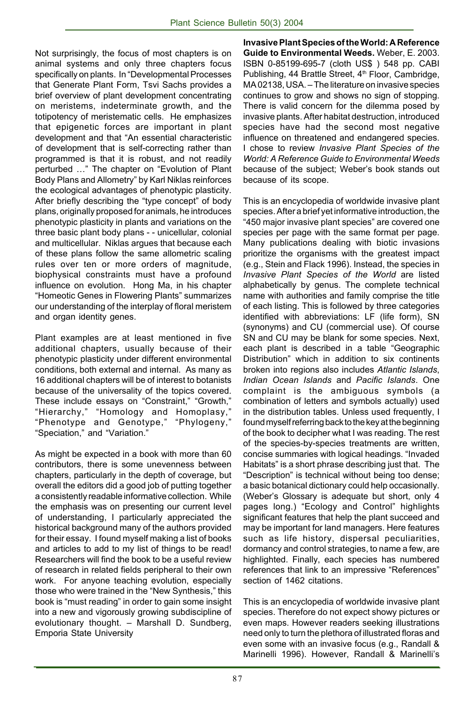Not surprisingly, the focus of most chapters is on animal systems and only three chapters focus specifically on plants. In "Developmental Processes that Generate Plant Form, Tsvi Sachs provides a brief overview of plant development concentrating on meristems, indeterminate growth, and the totipotency of meristematic cells. He emphasizes that epigenetic forces are important in plant development and that "An essential characteristic of development that is self-correcting rather than programmed is that it is robust, and not readily perturbed ..." The chapter on "Evolution of Plant Body Plans and Allometryî by Karl Niklas reinforces the ecological advantages of phenotypic plasticity. After briefly describing the "type concept" of body plans, originally proposed for animals, he introduces phenotypic plasticity in plants and variations on the three basic plant body plans - - unicellular, colonial and multicellular. Niklas argues that because each of these plans follow the same allometric scaling rules over ten or more orders of magnitude, biophysical constraints must have a profound influence on evolution. Hong Ma, in his chapter "Homeotic Genes in Flowering Plants" summarizes our understanding of the interplay of floral meristem and organ identity genes.

Plant examples are at least mentioned in five additional chapters, usually because of their phenotypic plasticity under different environmental conditions, both external and internal. As many as 16 additional chapters will be of interest to botanists because of the universality of the topics covered. These include essays on "Constraint," "Growth," "Hierarchy," "Homology and Homoplasy," "Phenotype and Genotype," "Phylogeny," "Speciation," and "Variation."

As might be expected in a book with more than 60 contributors, there is some unevenness between chapters, particularly in the depth of coverage, but overall the editors did a good job of putting together a consistently readable informative collection. While the emphasis was on presenting our current level of understanding, I particularly appreciated the historical background many of the authors provided for their essay. I found myself making a list of books and articles to add to my list of things to be read! Researchers will find the book to be a useful review of research in related fields peripheral to their own work. For anyone teaching evolution, especially those who were trained in the "New Synthesis," this book is "must reading" in order to gain some insight into a new and vigorously growing subdiscipline of evolutionary thought. - Marshall D. Sundberg, Emporia State University

**Invasive Plant Species of the World: A Reference Guide to Environmental Weeds.** Weber, E. 2003. ISBN 0-85199-695-7 (cloth US\$ ) 548 pp. CABI Publishing, 44 Brattle Street, 4<sup>th</sup> Floor, Cambridge,  $MA 02138$ , USA.  $-$  The literature on invasive species continues to grow and shows no sign of stopping. There is valid concern for the dilemma posed by invasive plants. After habitat destruction, introduced species have had the second most negative influence on threatened and endangered species. I chose to review *Invasive Plant Species of the World: A Reference Guide to Environmental Weeds* because of the subject; Weber's book stands out because of its scope.

This is an encyclopedia of worldwide invasive plant species. After a brief yet informative introduction, the ì450 major invasive plant speciesî are covered one species per page with the same format per page. Many publications dealing with biotic invasions prioritize the organisms with the greatest impact (e.g., Stein and Flack 1996). Instead, the species in *Invasive Plant Species of the World* are listed alphabetically by genus. The complete technical name with authorities and family comprise the title of each listing. This is followed by three categories identified with abbreviations: LF (life form), SN (synonyms) and CU (commercial use). Of course SN and CU may be blank for some species. Next, each plant is described in a table "Geographic Distributionî which in addition to six continents broken into regions also includes *Atlantic Islands*, *Indian Ocean Islands* and *Pacific Islands*. One complaint is the ambiguous symbols (a combination of letters and symbols actually) used in the distribution tables. Unless used frequently, I found myself referring back to the key at the beginning of the book to decipher what I was reading. The rest of the species-by-species treatments are written, concise summaries with logical headings. "Invaded Habitats" is a short phrase describing just that. The ìDescriptionî is technical without being too dense; a basic botanical dictionary could help occasionally. (Weberís Glossary is adequate but short, only 4 pages long.) "Ecology and Control" highlights significant features that help the plant succeed and may be important for land managers. Here features such as life history, dispersal peculiarities, dormancy and control strategies, to name a few, are highlighted. Finally, each species has numbered references that link to an impressive "References" section of 1462 citations.

This is an encyclopedia of worldwide invasive plant species. Therefore do not expect showy pictures or even maps. However readers seeking illustrations need only to turn the plethora of illustrated floras and even some with an invasive focus (e.g., Randall & Marinelli 1996). However, Randall & Marinelli's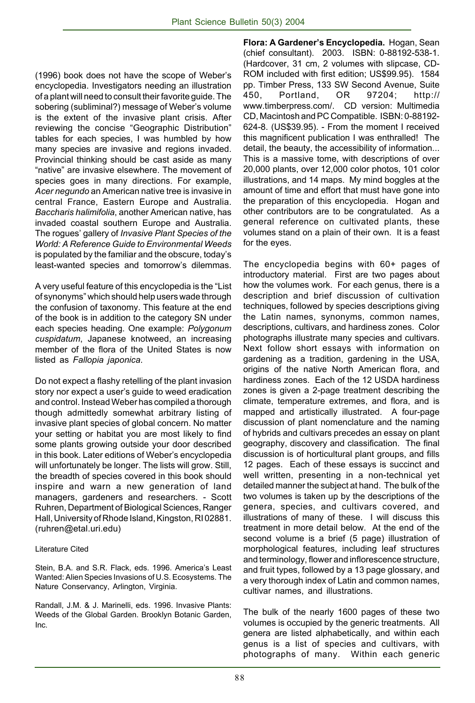(1996) book does not have the scope of Weberís encyclopedia. Investigators needing an illustration of a plant will need to consult their favorite guide. The sobering (subliminal?) message of Weber's volume is the extent of the invasive plant crisis. After reviewing the concise "Geographic Distribution" tables for each species, I was humbled by how many species are invasive and regions invaded. Provincial thinking should be cast aside as many "native" are invasive elsewhere. The movement of species goes in many directions. For example, *Acer negundo* an American native tree is invasive in central France, Eastern Europe and Australia. *Baccharis halimifolia*, another American native, has invaded coastal southern Europe and Australia. The roguesí gallery of *Invasive Plant Species of the World: A Reference Guide to Environmental Weeds* is populated by the familiar and the obscure, todayís least-wanted species and tomorrow's dilemmas.

A very useful feature of this encyclopedia is the "List" of synonyms" which should help users wade through the confusion of taxonomy. This feature at the end of the book is in addition to the category SN under each species heading. One example: *Polygonum cuspidatum*, Japanese knotweed, an increasing member of the flora of the United States is now listed as *Fallopia japonica*.

Do not expect a flashy retelling of the plant invasion story nor expect a user's guide to weed eradication and control. Instead Weber has compiled a thorough though admittedly somewhat arbitrary listing of invasive plant species of global concern. No matter your setting or habitat you are most likely to find some plants growing outside your door described in this book. Later editions of Weber's encyclopedia will unfortunately be longer. The lists will grow. Still, the breadth of species covered in this book should inspire and warn a new generation of land managers, gardeners and researchers. - Scott Ruhren, Department of Biological Sciences, Ranger Hall, University of Rhode Island, Kingston, RI 02881. (ruhren@etal.uri.edu)

#### Literature Cited

Stein, B.A. and S.R. Flack, eds. 1996. America's Least Wanted: Alien Species Invasions of U.S. Ecosystems. The Nature Conservancy, Arlington, Virginia.

Randall, J.M. & J. Marinelli, eds. 1996. Invasive Plants: Weeds of the Global Garden. Brooklyn Botanic Garden, Inc.

**Flora: A Gardenerís Encyclopedia.** Hogan, Sean (chief consultant). 2003. ISBN: 0-88192-538-1. (Hardcover, 31 cm, 2 volumes with slipcase, CD-ROM included with first edition; US\$99.95). 1584 pp. Timber Press, 133 SW Second Avenue, Suite 450, Portland, OR 97204; http:// www.timberpress.com/. CD version: Multimedia CD, Macintosh and PC Compatible. ISBN: 0-88192- 624-8. (US\$39.95). - From the moment I received this magnificent publication I was enthralled! The detail, the beauty, the accessibility of information... This is a massive tome, with descriptions of over 20,000 plants, over 12,000 color photos, 101 color illustrations, and 14 maps. My mind boggles at the amount of time and effort that must have gone into the preparation of this encyclopedia. Hogan and other contributors are to be congratulated. As a general reference on cultivated plants, these volumes stand on a plain of their own. It is a feast for the eyes.

The encyclopedia begins with 60+ pages of introductory material. First are two pages about how the volumes work. For each genus, there is a description and brief discussion of cultivation techniques, followed by species descriptions giving the Latin names, synonyms, common names, descriptions, cultivars, and hardiness zones. Color photographs illustrate many species and cultivars. Next follow short essays with information on gardening as a tradition, gardening in the USA, origins of the native North American flora, and hardiness zones. Each of the 12 USDA hardiness zones is given a 2-page treatment describing the climate, temperature extremes, and flora, and is mapped and artistically illustrated. A four-page discussion of plant nomenclature and the naming of hybrids and cultivars precedes an essay on plant geography, discovery and classification. The final discussion is of horticultural plant groups, and fills 12 pages. Each of these essays is succinct and well written, presenting in a non-technical yet detailed manner the subject at hand. The bulk of the two volumes is taken up by the descriptions of the genera, species, and cultivars covered, and illustrations of many of these. I will discuss this treatment in more detail below. At the end of the second volume is a brief (5 page) illustration of morphological features, including leaf structures and terminology, flower and inflorescence structure, and fruit types, followed by a 13 page glossary, and a very thorough index of Latin and common names, cultivar names, and illustrations.

The bulk of the nearly 1600 pages of these two volumes is occupied by the generic treatments. All genera are listed alphabetically, and within each genus is a list of species and cultivars, with photographs of many. Within each generic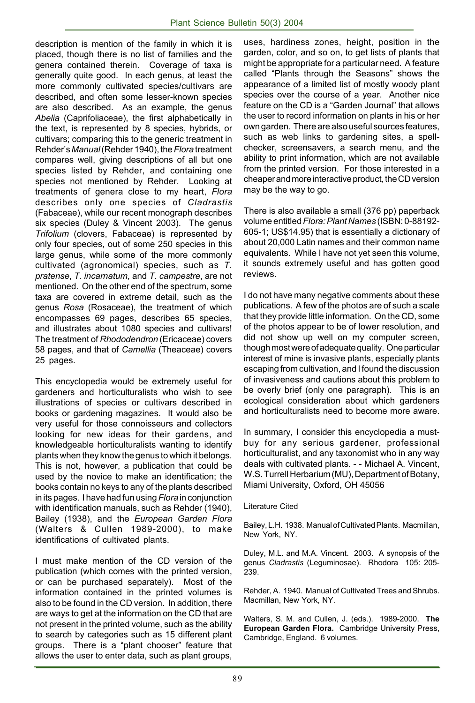description is mention of the family in which it is placed, though there is no list of families and the genera contained therein. Coverage of taxa is generally quite good. In each genus, at least the more commonly cultivated species/cultivars are described, and often some lesser-known species are also described. As an example, the genus *Abelia* (Caprifoliaceae), the first alphabetically in the text, is represented by 8 species, hybrids, or cultivars; comparing this to the generic treatment in Rehderís *Manual* (Rehder 1940), the *Flora* treatment compares well, giving descriptions of all but one species listed by Rehder, and containing one species not mentioned by Rehder. Looking at treatments of genera close to my heart, *Flora* describes only one species of *Cladrastis* (Fabaceae), while our recent monograph describes six species (Duley & Vincent 2003). The genus *Trifolium* (clovers, Fabaceae) is represented by only four species, out of some 250 species in this large genus, while some of the more commonly cultivated (agronomical) species, such as *T. pratense*, *T. incarnatum*, and *T. campestre*, are not mentioned. On the other end of the spectrum, some taxa are covered in extreme detail, such as the genus *Rosa* (Rosaceae), the treatment of which encompasses 69 pages, describes 65 species, and illustrates about 1080 species and cultivars! The treatment of *Rhododendron* (Ericaceae) covers 58 pages, and that of *Camellia* (Theaceae) covers 25 pages.

This encyclopedia would be extremely useful for gardeners and horticulturalists who wish to see illustrations of species or cultivars described in books or gardening magazines. It would also be very useful for those connoisseurs and collectors looking for new ideas for their gardens, and knowledgeable horticulturalists wanting to identify plants when they know the genus to which it belongs. This is not, however, a publication that could be used by the novice to make an identification; the books contain no keys to any of the plants described in its pages. I have had fun using *Flora* in conjunction with identification manuals, such as Rehder (1940), Bailey (1938), and the *European Garden Flora* (Walters & Cullen 1989-2000), to make identifications of cultivated plants.

I must make mention of the CD version of the publication (which comes with the printed version, or can be purchased separately). Most of the information contained in the printed volumes is also to be found in the CD version. In addition, there are ways to get at the information on the CD that are not present in the printed volume, such as the ability to search by categories such as 15 different plant groups. There is a "plant chooser" feature that allows the user to enter data, such as plant groups,

uses, hardiness zones, height, position in the garden, color, and so on, to get lists of plants that might be appropriate for a particular need. A feature called "Plants through the Seasons" shows the appearance of a limited list of mostly woody plant species over the course of a year. Another nice feature on the CD is a "Garden Journal" that allows the user to record information on plants in his or her own garden. There are also useful sources features, such as web links to gardening sites, a spellchecker, screensavers, a search menu, and the ability to print information, which are not available from the printed version. For those interested in a cheaper and more interactive product, the CD version may be the way to go.

There is also available a small (376 pp) paperback volume entitled *Flora: Plant Names* (ISBN: 0-88192- 605-1; US\$14.95) that is essentially a dictionary of about 20,000 Latin names and their common name equivalents. While I have not yet seen this volume, it sounds extremely useful and has gotten good reviews.

I do not have many negative comments about these publications. A few of the photos are of such a scale that they provide little information. On the CD, some of the photos appear to be of lower resolution, and did not show up well on my computer screen, though most were of adequate quality. One particular interest of mine is invasive plants, especially plants escaping from cultivation, and I found the discussion of invasiveness and cautions about this problem to be overly brief (only one paragraph). This is an ecological consideration about which gardeners and horticulturalists need to become more aware.

In summary, I consider this encyclopedia a mustbuy for any serious gardener, professional horticulturalist, and any taxonomist who in any way deals with cultivated plants. - - Michael A. Vincent, W.S. Turrell Herbarium (MU), Department of Botany, Miami University, Oxford, OH 45056

Literature Cited

Bailey, L.H. 1938. Manual of Cultivated Plants. Macmillan, New York, NY.

Duley, M.L. and M.A. Vincent. 2003. A synopsis of the genus *Cladrastis* (Leguminosae). Rhodora 105: 205- 239.

Rehder, A. 1940. Manual of Cultivated Trees and Shrubs. Macmillan, New York, NY.

Walters, S. M. and Cullen, J. (eds.). 1989-2000. **The European Garden Flora.** Cambridge University Press, Cambridge, England. 6 volumes.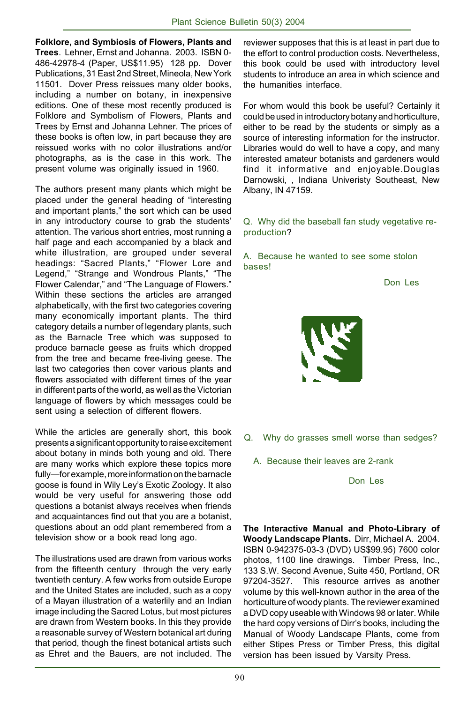**Folklore, and Symbiosis of Flowers, Plants and Trees**. Lehner, Ernst and Johanna. 2003. ISBN 0- 486-42978-4 (Paper, US\$11.95) 128 pp. Dover Publications, 31 East 2nd Street, Mineola, New York 11501. Dover Press reissues many older books, including a number on botany, in inexpensive editions. One of these most recently produced is Folklore and Symbolism of Flowers, Plants and Trees by Ernst and Johanna Lehner. The prices of these books is often low, in part because they are reissued works with no color illustrations and/or photographs, as is the case in this work. The present volume was originally issued in 1960.

The authors present many plants which might be placed under the general heading of "interesting and important plants," the sort which can be used in any introductory course to grab the students' attention. The various short entries, most running a half page and each accompanied by a black and white illustration, are grouped under several headings: "Sacred Plants," "Flower Lore and Legend," "Strange and Wondrous Plants," "The Flower Calendar," and "The Language of Flowers." Within these sections the articles are arranged alphabetically, with the first two categories covering many economically important plants. The third category details a number of legendary plants, such as the Barnacle Tree which was supposed to produce barnacle geese as fruits which dropped from the tree and became free-living geese. The last two categories then cover various plants and flowers associated with different times of the year in different parts of the world, as well as the Victorian language of flowers by which messages could be sent using a selection of different flowers.

While the articles are generally short, this book presents a significant opportunity to raise excitement about botany in minds both young and old. There are many works which explore these topics more fully-for example, more information on the barnacle goose is found in Wily Ley's Exotic Zoology. It also would be very useful for answering those odd questions a botanist always receives when friends and acquaintances find out that you are a botanist, questions about an odd plant remembered from a television show or a book read long ago.

The illustrations used are drawn from various works from the fifteenth century through the very early twentieth century. A few works from outside Europe and the United States are included, such as a copy of a Mayan illustration of a waterlily and an Indian image including the Sacred Lotus, but most pictures are drawn from Western books. In this they provide a reasonable survey of Western botanical art during that period, though the finest botanical artists such as Ehret and the Bauers, are not included. The

reviewer supposes that this is at least in part due to the effort to control production costs. Nevertheless, this book could be used with introductory level students to introduce an area in which science and the humanities interface.

For whom would this book be useful? Certainly it could be used in introductory botany and horticulture, either to be read by the students or simply as a source of interesting information for the instructor. Libraries would do well to have a copy, and many interested amateur botanists and gardeners would find it informative and enjoyable.Douglas Darnowski, , Indiana Univeristy Southeast, New Albany, IN 47159.

#### Q. Why did the baseball fan study vegetative reproduction?

#### A. Because he wanted to see some stolon bases!

Don Les



- Q. Why do grasses smell worse than sedges?
	- A. Because their leaves are 2-rank

Don Les

**The Interactive Manual and Photo-Library of Woody Landscape Plants.** Dirr, Michael A. 2004. ISBN 0-942375-03-3 (DVD) US\$99.95) 7600 color photos, 1100 line drawings. Timber Press, Inc., 133 S.W. Second Avenue, Suite 450, Portland, OR 97204-3527. This resource arrives as another volume by this well-known author in the area of the horticulture of woody plants. The reviewer examined a DVD copy useable with Windows 98 or later. While the hard copy versions of Dirr's books, including the Manual of Woody Landscape Plants, come from either Stipes Press or Timber Press, this digital version has been issued by Varsity Press.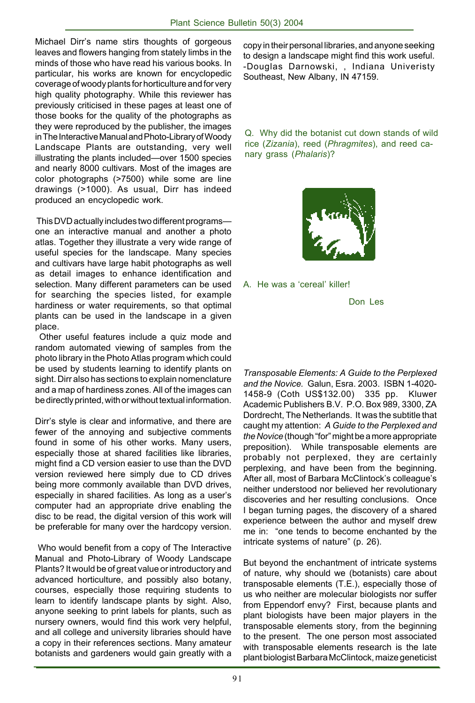Michael Dirrís name stirs thoughts of gorgeous leaves and flowers hanging from stately limbs in the minds of those who have read his various books. In particular, his works are known for encyclopedic coverage of woody plants for horticulture and for very high quality photography. While this reviewer has previously criticised in these pages at least one of those books for the quality of the photographs as they were reproduced by the publisher, the images in The Interactive Manual and Photo-Library of Woody Landscape Plants are outstanding, very well illustrating the plants included—over 1500 species and nearly 8000 cultivars. Most of the images are color photographs (>7500) while some are line drawings (>1000). As usual, Dirr has indeed produced an encyclopedic work.

This DVD actually includes two different programsone an interactive manual and another a photo atlas. Together they illustrate a very wide range of useful species for the landscape. Many species and cultivars have large habit photographs as well as detail images to enhance identification and selection. Many different parameters can be used for searching the species listed, for example hardiness or water requirements, so that optimal plants can be used in the landscape in a given place.

 Other useful features include a quiz mode and random automated viewing of samples from the photo library in the Photo Atlas program which could be used by students learning to identify plants on sight. Dirr also has sections to explain nomenclature and a map of hardiness zones. All of the images can be directly printed, with or without textual information.

Dirr's style is clear and informative, and there are fewer of the annoying and subjective comments found in some of his other works. Many users, especially those at shared facilities like libraries, might find a CD version easier to use than the DVD version reviewed here simply due to CD drives being more commonly available than DVD drives, especially in shared facilities. As long as a user's computer had an appropriate drive enabling the disc to be read, the digital version of this work will be preferable for many over the hardcopy version.

 Who would benefit from a copy of The Interactive Manual and Photo-Library of Woody Landscape Plants? It would be of great value or introductory and advanced horticulture, and possibly also botany, courses, especially those requiring students to learn to identify landscape plants by sight. Also, anyone seeking to print labels for plants, such as nursery owners, would find this work very helpful, and all college and university libraries should have a copy in their references sections. Many amateur botanists and gardeners would gain greatly with a

copy in their personal libraries, and anyone seeking to design a landscape might find this work useful. -Douglas Darnowski, , Indiana Univeristy Southeast, New Albany, IN 47159.

Q. Why did the botanist cut down stands of wild rice (*Zizania*), reed (*Phragmites*), and reed canary grass (*Phalaris*)?



A. He was a 'cereal' killer!

Don Les

*Transposable Elements: A Guide to the Perplexed and the Novice.* Galun, Esra. 2003. ISBN 1-4020- 1458-9 (Coth US\$132.00) 335 pp. Kluwer Academic Publishers B.V. P.O. Box 989, 3300, ZA Dordrecht, The Netherlands. It was the subtitle that caught my attention: *A Guide to the Perplexed and* the Novice (though "for" might be a more appropriate preposition). While transposable elements are probably not perplexed, they are certainly perplexing, and have been from the beginning. After all, most of Barbara McClintock's colleague's neither understood nor believed her revolutionary discoveries and her resulting conclusions. Once I began turning pages, the discovery of a shared experience between the author and myself drew me in: "one tends to become enchanted by the intricate systems of nature" (p. 26).

But beyond the enchantment of intricate systems of nature, why should we (botanists) care about transposable elements (T.E.), especially those of us who neither are molecular biologists nor suffer from Eppendorf envy? First, because plants and plant biologists have been major players in the transposable elements story, from the beginning to the present. The one person most associated with transposable elements research is the late plant biologist Barbara McClintock, maize geneticist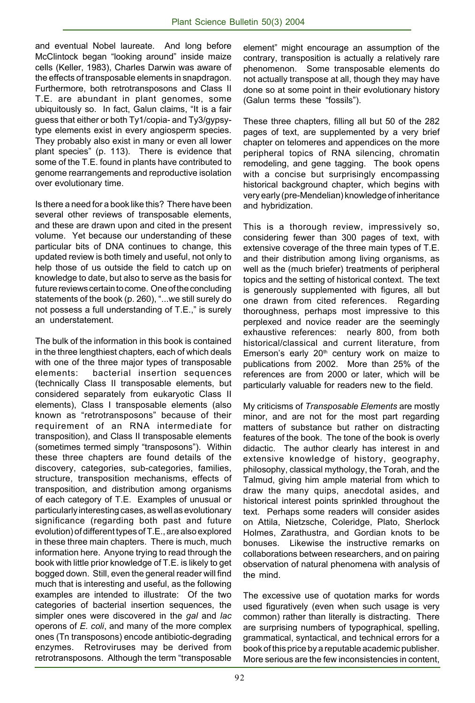and eventual Nobel laureate. And long before McClintock began "looking around" inside maize cells (Keller, 1983), Charles Darwin was aware of the effects of transposable elements in snapdragon. Furthermore, both retrotransposons and Class II T.E. are abundant in plant genomes, some ubiquitously so. In fact, Galun claims, "It is a fair guess that either or both Ty1/copia- and Ty3/gypsytype elements exist in every angiosperm species. They probably also exist in many or even all lower plant species" (p. 113). There is evidence that some of the T.E. found in plants have contributed to genome rearrangements and reproductive isolation over evolutionary time.

Is there a need for a book like this? There have been several other reviews of transposable elements, and these are drawn upon and cited in the present volume. Yet because our understanding of these particular bits of DNA continues to change, this updated review is both timely and useful, not only to help those of us outside the field to catch up on knowledge to date, but also to serve as the basis for future reviews certain to come. One of the concluding statements of the book (p. 260), "...we still surely do not possess a full understanding of T.E.," is surely an understatement.

The bulk of the information in this book is contained in the three lengthiest chapters, each of which deals with one of the three major types of transposable elements: bacterial insertion sequences (technically Class II transposable elements, but considered separately from eukaryotic Class II elements), Class I transposable elements (also known as "retrotransposons" because of their requirement of an RNA intermediate for transposition), and Class II transposable elements (sometimes termed simply "transposons"). Within these three chapters are found details of the discovery, categories, sub-categories, families, structure, transposition mechanisms, effects of transposition, and distribution among organisms of each category of T.E. Examples of unusual or particularly interesting cases, as well as evolutionary significance (regarding both past and future evolution) of different types of T.E., are also explored in these three main chapters. There is much, much information here. Anyone trying to read through the book with little prior knowledge of T.E. is likely to get bogged down. Still, even the general reader will find much that is interesting and useful, as the following examples are intended to illustrate: Of the two categories of bacterial insertion sequences, the simpler ones were discovered in the *gal* and *lac* operons of *E. coli*, and many of the more complex ones (Tn transposons) encode antibiotic-degrading enzymes. Retroviruses may be derived from retrotransposons. Although the term "transposable

element" might encourage an assumption of the contrary, transposition is actually a relatively rare phenomenon. Some transposable elements do not actually transpose at all, though they may have done so at some point in their evolutionary history (Galun terms these "fossils").

These three chapters, filling all but 50 of the 282 pages of text, are supplemented by a very brief chapter on telomeres and appendices on the more peripheral topics of RNA silencing, chromatin remodeling, and gene tagging. The book opens with a concise but surprisingly encompassing historical background chapter, which begins with very early (pre-Mendelian) knowledge of inheritance and hybridization.

This is a thorough review, impressively so, considering fewer than 300 pages of text, with extensive coverage of the three main types of T.E. and their distribution among living organisms, as well as the (much briefer) treatments of peripheral topics and the setting of historical context. The text is generously supplemented with figures, all but one drawn from cited references. Regarding thoroughness, perhaps most impressive to this perplexed and novice reader are the seemingly exhaustive references: nearly 800, from both historical/classical and current literature, from Emerson's early  $20<sup>th</sup>$  century work on maize to publications from 2002. More than 25% of the references are from 2000 or later, which will be particularly valuable for readers new to the field.

My criticisms of *Transposable Elements* are mostly minor, and are not for the most part regarding matters of substance but rather on distracting features of the book. The tone of the book is overly didactic. The author clearly has interest in and extensive knowledge of history, geography, philosophy, classical mythology, the Torah, and the Talmud, giving him ample material from which to draw the many quips, anecdotal asides, and historical interest points sprinkled throughout the text. Perhaps some readers will consider asides on Attila, Nietzsche, Coleridge, Plato, Sherlock Holmes, Zarathustra, and Gordian knots to be bonuses. Likewise the instructive remarks on collaborations between researchers, and on pairing observation of natural phenomena with analysis of the mind.

The excessive use of quotation marks for words used figuratively (even when such usage is very common) rather than literally is distracting. There are surprising numbers of typographical, spelling, grammatical, syntactical, and technical errors for a book of this price by a reputable academic publisher. More serious are the few inconsistencies in content,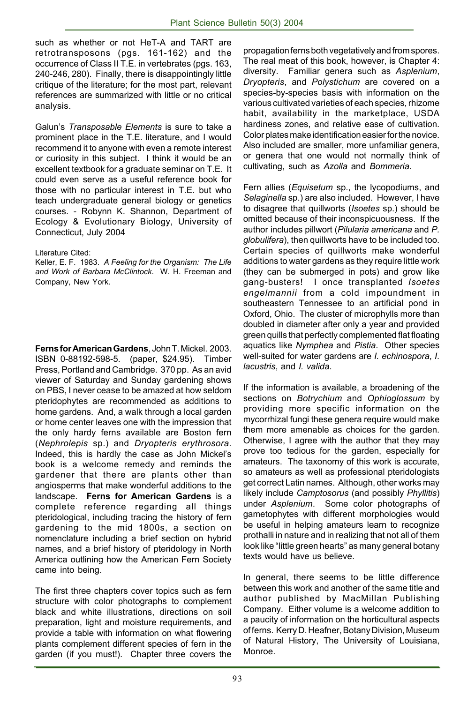such as whether or not HeT-A and TART are retrotransposons (pgs. 161-162) and the occurrence of Class II T.E. in vertebrates (pgs. 163, 240-246, 280). Finally, there is disappointingly little critique of the literature; for the most part, relevant references are summarized with little or no critical analysis.

Galunís *Transposable Elements* is sure to take a prominent place in the T.E. literature, and I would recommend it to anyone with even a remote interest or curiosity in this subject. I think it would be an excellent textbook for a graduate seminar on T.E. It could even serve as a useful reference book for those with no particular interest in T.E. but who teach undergraduate general biology or genetics courses. - Robynn K. Shannon, Department of Ecology & Evolutionary Biology, University of Connecticut, July 2004

#### Literature Cited:

Keller, E. F. 1983. *A Feeling for the Organism: The Life and Work of Barbara McClintock*. W. H. Freeman and Company, New York.

**Ferns for American Gardens**, John T. Mickel. 2003. ISBN 0-88192-598-5. (paper, \$24.95). Timber Press, Portland and Cambridge. 370 pp. As an avid viewer of Saturday and Sunday gardening shows on PBS, I never cease to be amazed at how seldom pteridophytes are recommended as additions to home gardens. And, a walk through a local garden or home center leaves one with the impression that the only hardy ferns available are Boston fern (*Nephrolepis* sp.) and *Dryopteris erythrosora*. Indeed, this is hardly the case as John Mickelís book is a welcome remedy and reminds the gardener that there are plants other than angiosperms that make wonderful additions to the landscape. **Ferns for American Gardens** is a complete reference regarding all things pteridological, including tracing the history of fern gardening to the mid 1800s, a section on nomenclature including a brief section on hybrid names, and a brief history of pteridology in North America outlining how the American Fern Society came into being.

The first three chapters cover topics such as fern structure with color photographs to complement black and white illustrations, directions on soil preparation, light and moisture requirements, and provide a table with information on what flowering plants complement different species of fern in the garden (if you must!). Chapter three covers the propagation ferns both vegetatively and from spores. The real meat of this book, however, is Chapter 4: diversity. Familiar genera such as *Asplenium*, *Dryopteris*, and *Polystichum* are covered on a species-by-species basis with information on the various cultivated varieties of each species, rhizome habit, availability in the marketplace, USDA hardiness zones, and relative ease of cultivation. Color plates make identification easier for the novice. Also included are smaller, more unfamiliar genera, or genera that one would not normally think of cultivating, such as *Azolla* and *Bommeria*.

Fern allies (*Equisetum* sp., the lycopodiums, and *Selaginella* sp.) are also included. However, I have to disagree that quillworts (*Isoetes* sp.) should be omitted because of their inconspicuousness. If the author includes pillwort (*Pilularia americana* and *P. globulifera*), then quillworts have to be included too. Certain species of quillworts make wonderful additions to water gardens as they require little work (they can be submerged in pots) and grow like gang-busters! I once transplanted *Isoetes engelmannii* from a cold impoundment in southeastern Tennessee to an artificial pond in Oxford, Ohio. The cluster of microphylls more than doubled in diameter after only a year and provided green quills that perfectly complemented flat floating aquatics like *Nymphea* and *Pistia*. Other species well-suited for water gardens are *I. echinospora*, *I. lacustris*, and *I. valida*.

If the information is available, a broadening of the sections on *Botrychium* and *Ophioglossum* by providing more specific information on the mycorrhizal fungi these genera require would make them more amenable as choices for the garden. Otherwise, I agree with the author that they may prove too tedious for the garden, especially for amateurs. The taxonomy of this work is accurate, so amateurs as well as professional pteridologists get correct Latin names. Although, other works may likely include *Camptosorus* (and possibly *Phyllitis*) under *Asplenium*. Some color photographs of gametophytes with different morphologies would be useful in helping amateurs learn to recognize prothalli in nature and in realizing that not all of them look like "little green hearts" as many general botany texts would have us believe.

In general, there seems to be little difference between this work and another of the same title and author published by MacMillan Publishing Company. Either volume is a welcome addition to a paucity of information on the horticultural aspects of ferns. Kerry D. Heafner, Botany Division, Museum of Natural History, The University of Louisiana, Monroe.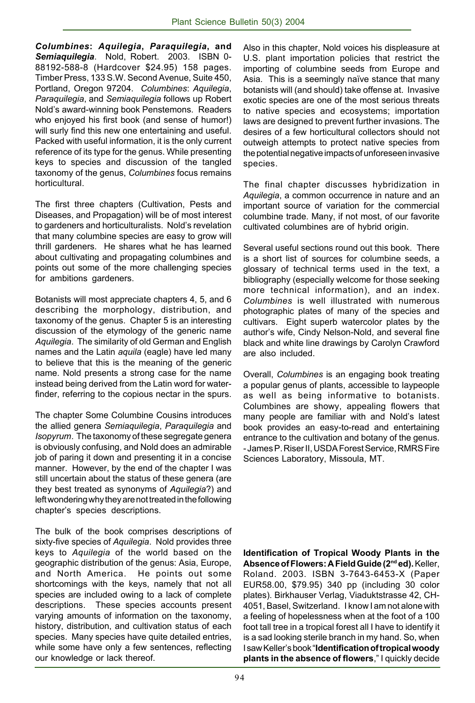*Columbines***:** *Aquilegia***,** *Paraquilegia***, and** *Semiaquilegia*. Nold, Robert. 2003. ISBN 0- 88192-588-8 (Hardcover \$24.95) 158 pages. Timber Press, 133 S.W. Second Avenue, Suite 450, Portland, Oregon 97204. *Columbines*: *Aquilegia*, *Paraquilegia*, and *Semiaquilegia* follows up Robert Nold's award-winning book Penstemons. Readers who enjoyed his first book (and sense of humor!) will surly find this new one entertaining and useful. Packed with useful information, it is the only current reference of its type for the genus. While presenting keys to species and discussion of the tangled taxonomy of the genus, *Columbines* focus remains horticultural.

The first three chapters (Cultivation, Pests and Diseases, and Propagation) will be of most interest to gardeners and horticulturalists. Nold's revelation that many columbine species are easy to grow will thrill gardeners. He shares what he has learned about cultivating and propagating columbines and points out some of the more challenging species for ambitions gardeners.

Botanists will most appreciate chapters 4, 5, and 6 describing the morphology, distribution, and taxonomy of the genus. Chapter 5 is an interesting discussion of the etymology of the generic name *Aquilegia*. The similarity of old German and English names and the Latin *aquila* (eagle) have led many to believe that this is the meaning of the generic name. Nold presents a strong case for the name instead being derived from the Latin word for waterfinder, referring to the copious nectar in the spurs.

The chapter Some Columbine Cousins introduces the allied genera *Semiaquilegia*, *Paraquilegia* and *Isopyrum*. The taxonomy of these segregate genera is obviously confusing, and Nold does an admirable job of paring it down and presenting it in a concise manner. However, by the end of the chapter I was still uncertain about the status of these genera (are they best treated as synonyms of *Aquilegia*?) and left wondering why they are not treated in the following chapterís species descriptions.

The bulk of the book comprises descriptions of sixty-five species of *Aquilegia*. Nold provides three keys to *Aquilegia* of the world based on the geographic distribution of the genus: Asia, Europe, and North America. He points out some shortcomings with the keys, namely that not all species are included owing to a lack of complete descriptions. These species accounts present varying amounts of information on the taxonomy, history, distribution, and cultivation status of each species. Many species have quite detailed entries, while some have only a few sentences, reflecting our knowledge or lack thereof.

Also in this chapter, Nold voices his displeasure at U.S. plant importation policies that restrict the importing of columbine seeds from Europe and Asia. This is a seemingly naïve stance that many botanists will (and should) take offense at. Invasive exotic species are one of the most serious threats to native species and ecosystems; importation laws are designed to prevent further invasions. The desires of a few horticultural collectors should not outweigh attempts to protect native species from the potential negative impacts of unforeseen invasive species.

The final chapter discusses hybridization in *Aquilegia*, a common occurrence in nature and an important source of variation for the commercial columbine trade. Many, if not most, of our favorite cultivated columbines are of hybrid origin.

Several useful sections round out this book. There is a short list of sources for columbine seeds, a glossary of technical terms used in the text, a bibliography (especially welcome for those seeking more technical information), and an index. *Columbines* is well illustrated with numerous photographic plates of many of the species and cultivars. Eight superb watercolor plates by the author's wife, Cindy Nelson-Nold, and several fine black and white line drawings by Carolyn Crawford are also included.

Overall, *Columbines* is an engaging book treating a popular genus of plants, accessible to laypeople as well as being informative to botanists. Columbines are showy, appealing flowers that many people are familiar with and Nold's latest book provides an easy-to-read and entertaining entrance to the cultivation and botany of the genus. - James P. Riser II, USDA Forest Service, RMRS Fire Sciences Laboratory, Missoula, MT.

**Identification of Tropical Woody Plants in the Absence of Flowers: A Field Guide (2nd ed).** Keller, Roland. 2003. ISBN 3-7643-6453-X (Paper EUR58.00, \$79.95) 340 pp (including 30 color plates). Birkhauser Verlag, Viaduktstrasse 42, CH-4051, Basel, Switzerland. I know I am not alone with a feeling of hopelessness when at the foot of a 100 foot tall tree in a tropical forest all I have to identify it is a sad looking sterile branch in my hand. So, when I saw Keller's book "**Identification of tropical woody plants in the absence of flowers**," I quickly decide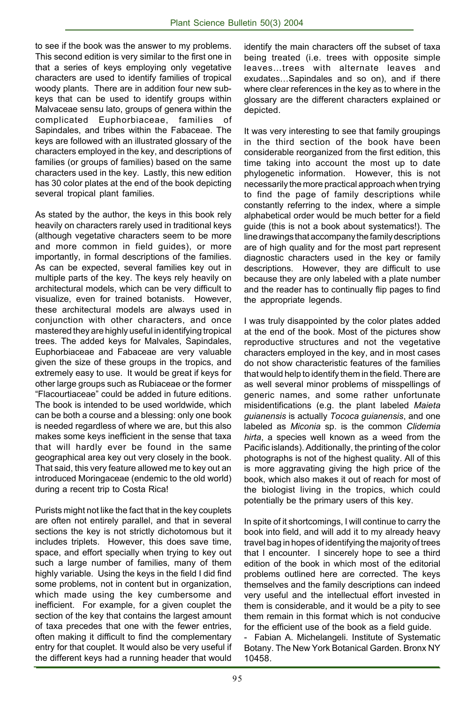to see if the book was the answer to my problems. This second edition is very similar to the first one in that a series of keys employing only vegetative characters are used to identify families of tropical woody plants. There are in addition four new subkeys that can be used to identify groups within Malvaceae sensu lato, groups of genera within the complicated Euphorbiaceae, families of Sapindales, and tribes within the Fabaceae. The keys are followed with an illustrated glossary of the characters employed in the key, and descriptions of families (or groups of families) based on the same characters used in the key. Lastly, this new edition has 30 color plates at the end of the book depicting several tropical plant families.

As stated by the author, the keys in this book rely heavily on characters rarely used in traditional keys (although vegetative characters seem to be more and more common in field guides), or more importantly, in formal descriptions of the families. As can be expected, several families key out in multiple parts of the key. The keys rely heavily on architectural models, which can be very difficult to visualize, even for trained botanists. However, these architectural models are always used in conjunction with other characters, and once mastered they are highly useful in identifying tropical trees. The added keys for Malvales, Sapindales, Euphorbiaceae and Fabaceae are very valuable given the size of these groups in the tropics, and extremely easy to use. It would be great if keys for other large groups such as Rubiaceae or the former ìFlacourtiaceaeî could be added in future editions. The book is intended to be used worldwide, which can be both a course and a blessing: only one book is needed regardless of where we are, but this also makes some keys inefficient in the sense that taxa that will hardly ever be found in the same geographical area key out very closely in the book. That said, this very feature allowed me to key out an introduced Moringaceae (endemic to the old world) during a recent trip to Costa Rica!

Purists might not like the fact that in the key couplets are often not entirely parallel, and that in several sections the key is not strictly dichotomous but it includes triplets. However, this does save time, space, and effort specially when trying to key out such a large number of families, many of them highly variable. Using the keys in the field I did find some problems, not in content but in organization, which made using the key cumbersome and inefficient. For example, for a given couplet the section of the key that contains the largest amount of taxa precedes that one with the fewer entries, often making it difficult to find the complementary entry for that couplet. It would also be very useful if the different keys had a running header that would identify the main characters off the subset of taxa being treated (i.e. trees with opposite simple leaves...trees with alternate leaves and exudates...Sapindales and so on), and if there where clear references in the key as to where in the glossary are the different characters explained or depicted.

It was very interesting to see that family groupings in the third section of the book have been considerable reorganized from the first edition, this time taking into account the most up to date phylogenetic information. However, this is not necessarily the more practical approach when trying to find the page of family descriptions while constantly referring to the index, where a simple alphabetical order would be much better for a field guide (this is not a book about systematics!). The line drawings that accompany the family descriptions are of high quality and for the most part represent diagnostic characters used in the key or family descriptions. However, they are difficult to use because they are only labeled with a plate number and the reader has to continually flip pages to find the appropriate legends.

I was truly disappointed by the color plates added at the end of the book. Most of the pictures show reproductive structures and not the vegetative characters employed in the key, and in most cases do not show characteristic features of the families that would help to identify them in the field. There are as well several minor problems of misspellings of generic names, and some rather unfortunate misidentifications (e.g. the plant labeled *Maieta guianensis* is actually *Tococa guianensis*, and one labeled as *Miconia* sp. is the common *Clidemia hirta*, a species well known as a weed from the Pacific islands). Additionally, the printing of the color photographs is not of the highest quality. All of this is more aggravating giving the high price of the book, which also makes it out of reach for most of the biologist living in the tropics, which could potentially be the primary users of this key.

In spite of it shortcomings, I will continue to carry the book into field, and will add it to my already heavy travel bag in hopes of identifying the majority of trees that I encounter. I sincerely hope to see a third edition of the book in which most of the editorial problems outlined here are corrected. The keys themselves and the family descriptions can indeed very useful and the intellectual effort invested in them is considerable, and it would be a pity to see them remain in this format which is not conducive for the efficient use of the book as a field guide.

- Fabian A. Michelangeli. Institute of Systematic Botany. The New York Botanical Garden. Bronx NY 10458.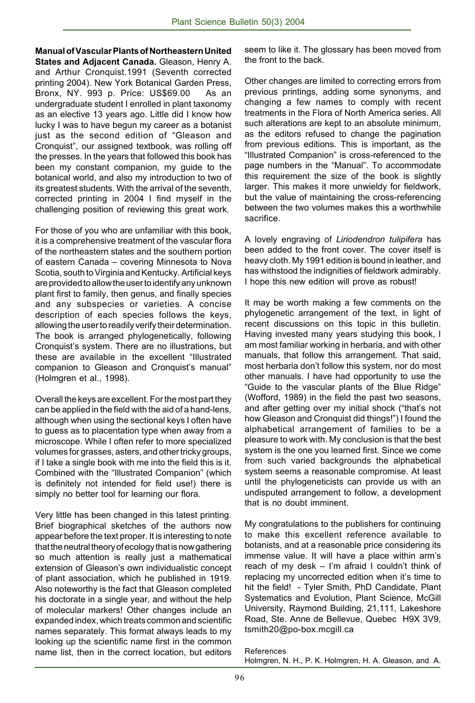**Manual of Vascular Plants of Northeastern United States and Adjacent Canada.** Gleason, Henry A. and Arthur Cronquist.1991 (Seventh corrected printing 2004). New York Botanical Garden Press, Bronx, NY. 993 p. Price: US\$69.00 As an undergraduate student I enrolled in plant taxonomy as an elective 13 years ago. Little did I know how lucky I was to have begun my career as a botanist just as the second edition of "Gleason and Cronquist", our assigned textbook, was rolling off the presses. In the years that followed this book has been my constant companion, my guide to the botanical world, and also my introduction to two of its greatest students. With the arrival of the seventh, corrected printing in 2004 I find myself in the challenging position of reviewing this great work.

For those of you who are unfamiliar with this book, it is a comprehensive treatment of the vascular flora of the northeastern states and the southern portion of eastern Canada – covering Minnesota to Nova Scotia, south to Virginia and Kentucky. Artificial keys are provided to allow the user to identify any unknown plant first to family, then genus, and finally species and any subspecies or varieties. A concise description of each species follows the keys, allowing the user to readily verify their determination. The book is arranged phylogenetically, following Cronquist's system. There are no illustrations, but these are available in the excellent "Illustrated companion to Gleason and Cronquist's manual" (Holmgren et al., 1998).

Overall the keys are excellent. For the most part they can be applied in the field with the aid of a hand-lens, although when using the sectional keys I often have to guess as to placentation type when away from a microscope. While I often refer to more specialized volumes for grasses, asters, and other tricky groups, if I take a single book with me into the field this is it. Combined with the "Illustrated Companion" (which is definitely not intended for field use!) there is simply no better tool for learning our flora.

Very little has been changed in this latest printing. Brief biographical sketches of the authors now appear before the text proper. It is interesting to note that the neutral theory of ecology that is now gathering so much attention is really just a mathematical extension of Gleason's own individualistic concept of plant association, which he published in 1919. Also noteworthy is the fact that Gleason completed his doctorate in a single year, and without the help of molecular markers! Other changes include an expanded index, which treats common and scientific names separately. This format always leads to my looking up the scientific name first in the common name list, then in the correct location, but editors

seem to like it. The glossary has been moved from the front to the back.

Other changes are limited to correcting errors from previous printings, adding some synonyms, and changing a few names to comply with recent treatments in the Flora of North America series. All such alterations are kept to an absolute minimum, as the editors refused to change the pagination from previous editions. This is important, as the "Illustrated Companion" is cross-referenced to the page numbers in the "Manual". To accommodate this requirement the size of the book is slightly larger. This makes it more unwieldy for fieldwork, but the value of maintaining the cross-referencing between the two volumes makes this a worthwhile sacrifice.

A lovely engraving of *Liriodendron tulipifera* has been added to the front cover. The cover itself is heavy cloth. My 1991 edition is bound in leather, and has withstood the indignities of fieldwork admirably. I hope this new edition will prove as robust!

It may be worth making a few comments on the phylogenetic arrangement of the text, in light of recent discussions on this topic in this bulletin. Having invested many years studying this book, I am most familiar working in herbaria, and with other manuals, that follow this arrangement. That said, most herbaria don't follow this system, nor do most other manuals. I have had opportunity to use the "Guide to the vascular plants of the Blue Ridge" (Wofford, 1989) in the field the past two seasons, and after getting over my initial shock ("that's not how Gleason and Cronquist did things!") I found the alphabetical arrangement of families to be a pleasure to work with. My conclusion is that the best system is the one you learned first. Since we come from such varied backgrounds the alphabetical system seems a reasonable compromise. At least until the phylogeneticists can provide us with an undisputed arrangement to follow, a development that is no doubt imminent.

My congratulations to the publishers for continuing to make this excellent reference available to botanists, and at a reasonable price considering its immense value. It will have a place within arm's reach of my desk  $-$  I'm afraid I couldn't think of replacing my uncorrected edition when it's time to hit the field! - Tyler Smith, PhD Candidate, Plant Systematics and Evolution, Plant Science, McGill University, Raymond Building, 21,111, Lakeshore Road, Ste. Anne de Bellevue, Quebec H9X 3V9, tsmith20@po-box.mcgill.ca

References Holmgren, N. H., P. K. Holmgren, H. A. Gleason, and A.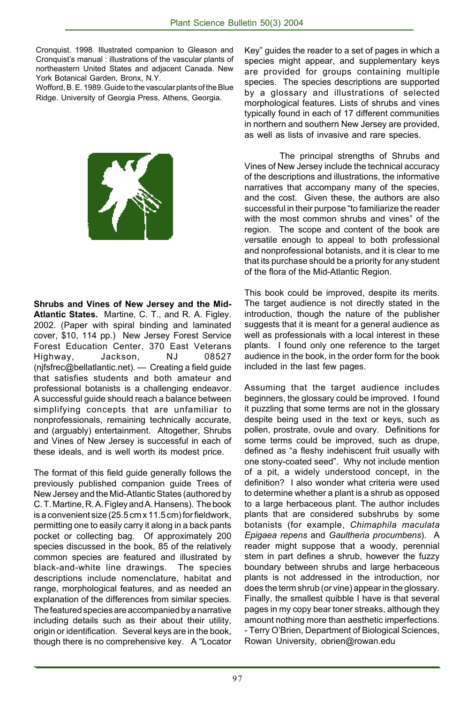Cronquist. 1998. Illustrated companion to Gleason and Cronquist's manual : illustrations of the vascular plants of northeastern United States and adjacent Canada. New York Botanical Garden, Bronx, N.Y.

Wofford, B. E. 1989. Guide to the vascular plants of the Blue Ridge. University of Georgia Press, Athens, Georgia.



**Shrubs and Vines of New Jersey and the Mid-Atlantic States.** Martine, C. T., and R. A. Figley. 2002. (Paper with spiral binding and laminated cover, \$10, 114 pp.) New Jersey Forest Service Forest Education Center, 370 East Veterans Highway, Jackson, NJ 08527 (njfsfrec@bellatlantic.net).  $-$  Creating a field guide that satisfies students and both amateur and professional botanists is a challenging endeavor. A successful guide should reach a balance between simplifying concepts that are unfamiliar to nonprofessionals, remaining technically accurate, and (arguably) entertainment. Altogether, Shrubs and Vines of New Jersey is successful in each of these ideals, and is well worth its modest price.

The format of this field guide generally follows the previously published companion guide Trees of New Jersey and the Mid-Atlantic States (authored by C. T. Martine, R. A. Figley and A. Hansens). The book is a convenient size (25.5 cm x 11.5 cm) for fieldwork, permitting one to easily carry it along in a back pants pocket or collecting bag. Of approximately 200 species discussed in the book, 85 of the relatively common species are featured and illustrated by black-and-white line drawings. The species descriptions include nomenclature, habitat and range, morphological features, and as needed an explanation of the differences from similar species. The featured species are accompanied by a narrative including details such as their about their utility, origin or identification. Several keys are in the book, though there is no comprehensive key. A "Locator

Keyî guides the reader to a set of pages in which a species might appear, and supplementary keys are provided for groups containing multiple species. The species descriptions are supported by a glossary and illustrations of selected morphological features. Lists of shrubs and vines typically found in each of 17 different communities in northern and southern New Jersey are provided, as well as lists of invasive and rare species.

The principal strengths of Shrubs and Vines of New Jersey include the technical accuracy of the descriptions and illustrations, the informative narratives that accompany many of the species, and the cost. Given these, the authors are also successful in their purpose "to familiarize the reader with the most common shrubs and vines" of the region. The scope and content of the book are versatile enough to appeal to both professional and nonprofessional botanists, and it is clear to me that its purchase should be a priority for any student of the flora of the Mid-Atlantic Region.

This book could be improved, despite its merits. The target audience is not directly stated in the introduction, though the nature of the publisher suggests that it is meant for a general audience as well as professionals with a local interest in these plants. I found only one reference to the target audience in the book, in the order form for the book included in the last few pages.

Assuming that the target audience includes beginners, the glossary could be improved. I found it puzzling that some terms are not in the glossary despite being used in the text or keys, such as pollen, prostrate, ovule and ovary. Definitions for some terms could be improved, such as drupe, defined as "a fleshy indehiscent fruit usually with one stony-coated seed". Why not include mention of a pit, a widely understood concept, in the definition? I also wonder what criteria were used to determine whether a plant is a shrub as opposed to a large herbaceous plant. The author includes plants that are considered subshrubs by some botanists (for example, *Chimaphila maculata Epigaea repens* and *Gaultheria procumbens*). A reader might suppose that a woody, perennial stem in part defines a shrub, however the fuzzy boundary between shrubs and large herbaceous plants is not addressed in the introduction, nor does the term shrub (or vine) appear in the glossary. Finally, the smallest quibble I have is that several pages in my copy bear toner streaks, although they amount nothing more than aesthetic imperfections. - Terry OíBrien, Department of Biological Sciences, Rowan University, obrien@rowan.edu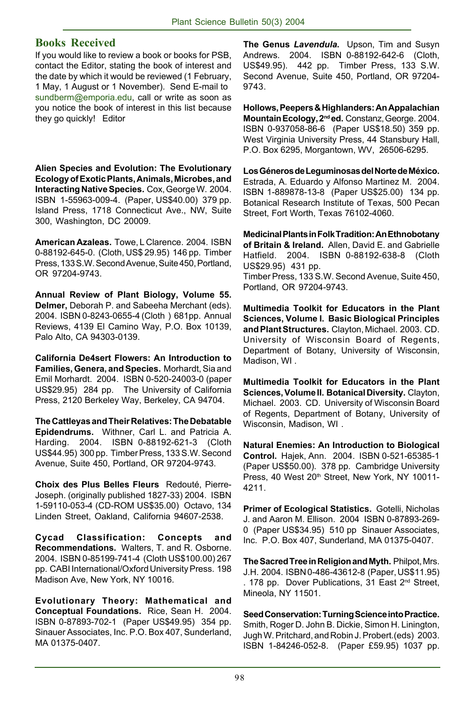#### **Books Received**

If you would like to review a book or books for PSB, contact the Editor, stating the book of interest and the date by which it would be reviewed (1 February, 1 May, 1 August or 1 November). Send E-mail to sundberm@emporia.edu, call or write as soon as you notice the book of interest in this list because they go quickly! Editor

**Alien Species and Evolution: The Evolutionary Ecology of Exotic Plants, Animals, Microbes, and Interacting Native Species.** Cox, George W. 2004. ISBN 1-55963-009-4. (Paper, US\$40.00) 379 pp. Island Press, 1718 Connecticut Ave., NW, Suite 300, Washington, DC 20009.

**American Azaleas.** Towe, L Clarence. 2004. ISBN 0-88192-645-0. (Cloth, US\$ 29.95) 146 pp. Timber Press, 133 S.W. Second Avenue, Suite 450, Portland, OR 97204-9743.

**Annual Review of Plant Biology, Volume 55. Delmer,** Deborah P. and Sabeeha Merchant (eds). 2004. ISBN 0-8243-0655-4 (Cloth ) 681pp. Annual Reviews, 4139 El Camino Way, P.O. Box 10139, Palo Alto, CA 94303-0139.

**California De4sert Flowers: An Introduction to Families, Genera, and Species.** Morhardt, Sia and Emil Morhardt. 2004. ISBN 0-520-24003-0 (paper US\$29.95) 284 pp. The University of California Press, 2120 Berkeley Way, Berkeley, CA 94704.

**The Cattleyas and Their Relatives: The Debatable Epidendrums.** Withner, Carl L. and Patricia A. Harding. 2004. ISBN 0-88192-621-3 (Cloth US\$44.95) 300 pp. Timber Press, 133 S.W. Second Avenue, Suite 450, Portland, OR 97204-9743.

Choix des Plus Belles Fleurs Redouté, Pierre-Joseph. (originally published 1827-33) 2004. ISBN 1-59110-053-4 (CD-ROM US\$35.00) Octavo, 134 Linden Street, Oakland, California 94607-2538.

**Cycad Classification: Concepts and Recommendations.** Walters, T. and R. Osborne. 2004. ISBN 0-85199-741-4 (Cloth US\$100.00) 267 pp. CABI International/Oxford University Press. 198 Madison Ave, New York, NY 10016.

**Evolutionary Theory: Mathematical and Conceptual Foundations.** Rice, Sean H. 2004. ISBN 0-87893-702-1 (Paper US\$49.95) 354 pp. Sinauer Associates, Inc. P.O. Box 407, Sunderland, MA 01375-0407.

**The Genus** *Lavendula***.** Upson, Tim and Susyn Andrews. 2004. ISBN 0-88192-642-6 (Cloth, US\$49.95). 442 pp. Timber Press, 133 S.W. Second Avenue, Suite 450, Portland, OR 97204- 9743.

**Hollows, Peepers & Highlanders: An Appalachian Mountain Ecology, 2nd ed.** Constanz, George. 2004. ISBN 0-937058-86-6 (Paper US\$18.50) 359 pp. West Virginia University Press, 44 Stansbury Hall, P.O. Box 6295, Morgantown, WV, 26506-6295.

**Los GÈneros de Leguminosas del Norte de MÈxico.** Estrada, A. Eduardo y Alfonso Martinez M. 2004. ISBN 1-889878-13-8 (Paper US\$25.00) 134 pp. Botanical Research Institute of Texas, 500 Pecan Street, Fort Worth, Texas 76102-4060.

**Medicinal Plants in Folk Tradition: An Ethnobotany of Britain & Ireland.** Allen, David E. and Gabrielle Hatfield. 2004. ISBN 0-88192-638-8 (Cloth US\$29.95) 431 pp. Timber Press, 133 S.W. Second Avenue, Suite 450, Portland, OR 97204-9743.

**Multimedia Toolkit for Educators in the Plant Sciences, Volume I. Basic Biological Principles and Plant Structures.** Clayton, Michael. 2003. CD. University of Wisconsin Board of Regents, Department of Botany, University of Wisconsin, Madison, WI .

**Multimedia Toolkit for Educators in the Plant Sciences, Volume II. Botanical Diversity.** Clayton, Michael. 2003. CD. University of Wisconsin Board of Regents, Department of Botany, University of Wisconsin, Madison, WI .

**Natural Enemies: An Introduction to Biological Control.** Hajek, Ann. 2004. ISBN 0-521-65385-1 (Paper US\$50.00). 378 pp. Cambridge University Press, 40 West 20<sup>th</sup> Street, New York, NY 10011-4211.

**Primer of Ecological Statistics.** Gotelli, Nicholas J. and Aaron M. Ellison. 2004 ISBN 0-87893-269- 0 (Paper US\$34.95) 510 pp Sinauer Associates, Inc. P.O. Box 407, Sunderland, MA 01375-0407.

**The Sacred Tree in Religion and Myth.** Philpot, Mrs. J.H. 2004. ISBN 0-486-43612-8 (Paper, US\$11.95) . 178 pp. Dover Publications, 31 East 2<sup>nd</sup> Street, Mineola, NY 11501.

**Seed Conservation: Turning Science into Practice.** Smith, Roger D. John B. Dickie, Simon H. Linington, Jugh W. Pritchard, and Robin J. Probert.(eds) 2003. ISBN 1-84246-052-8. (Paper £59.95) 1037 pp.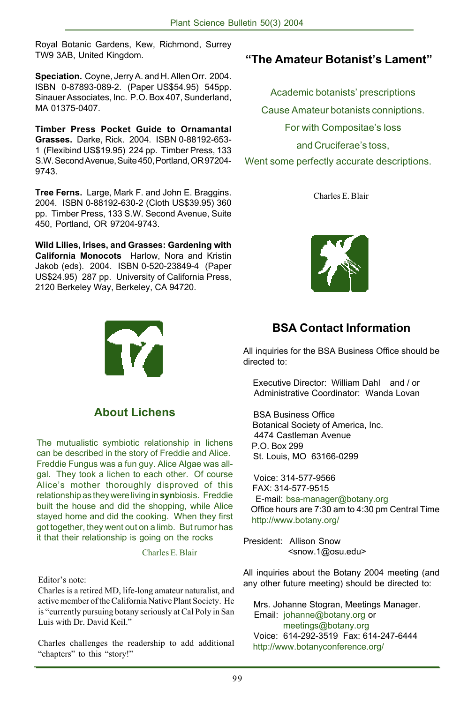Royal Botanic Gardens, Kew, Richmond, Surrey TW9 3AB, United Kingdom.

**Speciation.** Coyne, Jerry A. and H. Allen Orr. 2004. ISBN 0-87893-089-2. (Paper US\$54.95) 545pp. Sinauer Associates, Inc. P.O. Box 407, Sunderland, MA 01375-0407.

**Timber Press Pocket Guide to Ornamantal Grasses.** Darke, Rick. 2004. ISBN 0-88192-653- 1 (Flexibind US\$19.95) 224 pp. Timber Press, 133 S.W. Second Avenue, Suite 450, Portland, OR 97204- 9743.

**Tree Ferns.** Large, Mark F. and John E. Braggins. 2004. ISBN 0-88192-630-2 (Cloth US\$39.95) 360 pp. Timber Press, 133 S.W. Second Avenue, Suite 450, Portland, OR 97204-9743.

**Wild Lilies, Irises, and Grasses: Gardening with California Monocots** Harlow, Nora and Kristin Jakob (eds). 2004. ISBN 0-520-23849-4 (Paper US\$24.95) 287 pp. University of California Press, 2120 Berkeley Way, Berkeley, CA 94720.

**About Lichens**

The mutualistic symbiotic relationship in lichens can be described in the story of Freddie and Alice. Freddie Fungus was a fun guy. Alice Algae was allgal. They took a lichen to each other. Of course Alice's mother thoroughly disproved of this relationship as they were living in **syn**biosis. Freddie built the house and did the shopping, while Alice stayed home and did the cooking. When they first got together, they went out on a limb. But rumor has it that their relationship is going on the rocks

Charles E. Blair

#### Editor's note:

Charles is a retired MD, life-long amateur naturalist, and active member of the California Native Plant Society. He is "currently pursuing botany seriously at Cal Poly in San Luis with Dr. David Keil."

Charles challenges the readership to add additional "chapters" to this "story!"

### *i***The Amateur Botanist's Lament"**

Academic botanists' prescriptions Cause Amateur botanists conniptions. For with Compositae's loss and Cruciferae's toss, Went some perfectly accurate descriptions.

Charles E. Blair



### **BSA Contact Information**

All inquiries for the BSA Business Office should be directed to:

 Executive Director: William Dahl and / or Administrative Coordinator: Wanda Lovan

 BSA Business Office Botanical Society of America, Inc. 4474 Castleman Avenue P.O. Box 299 St. Louis, MO 63166-0299

 Voice: 314-577-9566 FAX: 314-577-9515 E-mail: bsa-manager@botany.org Office hours are 7:30 am to 4:30 pm Central Time http://www.botany.org/

President: Allison Snow <snow.1@osu.edu>

All inquiries about the Botany 2004 meeting (and any other future meeting) should be directed to:

 Mrs. Johanne Stogran, Meetings Manager. Email: johanne@botany.org or meetings@botany.org Voice: 614-292-3519 Fax: 614-247-6444 http://www.botanyconference.org/